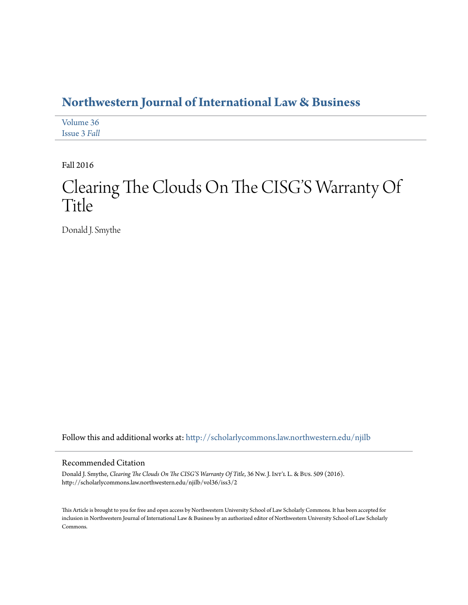# **[Northwestern Journal of International Law & Business](http://scholarlycommons.law.northwestern.edu/njilb?utm_source=scholarlycommons.law.northwestern.edu%2Fnjilb%2Fvol36%2Fiss3%2F2&utm_medium=PDF&utm_campaign=PDFCoverPages)**

[Volume 36](http://scholarlycommons.law.northwestern.edu/njilb/vol36?utm_source=scholarlycommons.law.northwestern.edu%2Fnjilb%2Fvol36%2Fiss3%2F2&utm_medium=PDF&utm_campaign=PDFCoverPages) [Issue 3](http://scholarlycommons.law.northwestern.edu/njilb/vol36/iss3?utm_source=scholarlycommons.law.northwestern.edu%2Fnjilb%2Fvol36%2Fiss3%2F2&utm_medium=PDF&utm_campaign=PDFCoverPages) *Fall*

Fall 2016

# Clearing The Clouds On The CISG'S Warranty Of Title

Donald J. Smythe

Follow this and additional works at: [http://scholarlycommons.law.northwestern.edu/njilb](http://scholarlycommons.law.northwestern.edu/njilb?utm_source=scholarlycommons.law.northwestern.edu%2Fnjilb%2Fvol36%2Fiss3%2F2&utm_medium=PDF&utm_campaign=PDFCoverPages)

## Recommended Citation

Donald J. Smythe, *Clearing The Clouds On The CISG'S Warranty Of Title*, 36 Nw. J. Int'l L. & Bus. 509 (2016). http://scholarlycommons.law.northwestern.edu/njilb/vol36/iss3/2

This Article is brought to you for free and open access by Northwestern University School of Law Scholarly Commons. It has been accepted for inclusion in Northwestern Journal of International Law & Business by an authorized editor of Northwestern University School of Law Scholarly Commons.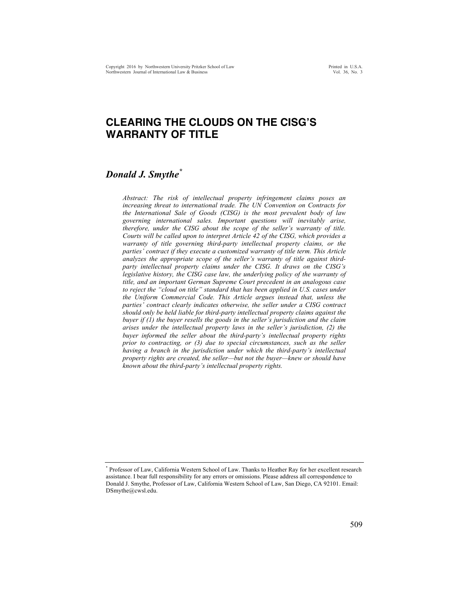## **CLEARING THE CLOUDS ON THE CISG'S WARRANTY OF TITLE**

## *Donald J. Smythe\**

*Abstract: The risk of intellectual property infringement claims poses an increasing threat to international trade. The UN Convention on Contracts for the International Sale of Goods (CISG) is the most prevalent body of law governing international sales. Important questions will inevitably arise, therefore, under the CISG about the scope of the seller's warranty of title. Courts will be called upon to interpret Article 42 of the CISG, which provides a warranty of title governing third-party intellectual property claims, or the parties' contract if they execute a customized warranty of title term. This Article analyzes the appropriate scope of the seller's warranty of title against thirdparty intellectual property claims under the CISG. It draws on the CISG's legislative history, the CISG case law, the underlying policy of the warranty of title, and an important German Supreme Court precedent in an analogous case*  to reject the "cloud on title" standard that has been applied in U.S. cases under *the Uniform Commercial Code. This Article argues instead that, unless the parties' contract clearly indicates otherwise, the seller under a CISG contract should only be held liable for third-party intellectual property claims against the buyer if (1) the buyer resells the goods in the seller's jurisdiction and the claim arises under the intellectual property laws in the seller's jurisdiction, (2) the buyer informed the seller about the third-party's intellectual property rights prior to contracting, or (3) due to special circumstances, such as the seller having a branch in the jurisdiction under which the third-party's intellectual property rights are created, the seller—but not the buyer—knew or should have known about the third-party's intellectual property rights.*

<sup>\*</sup> Professor of Law, California Western School of Law. Thanks to Heather Ray for her excellent research assistance. I bear full responsibility for any errors or omissions. Please address all correspondence to Donald J. Smythe, Professor of Law, California Western School of Law, San Diego, CA 92101. Email: DSmythe@cwsl.edu.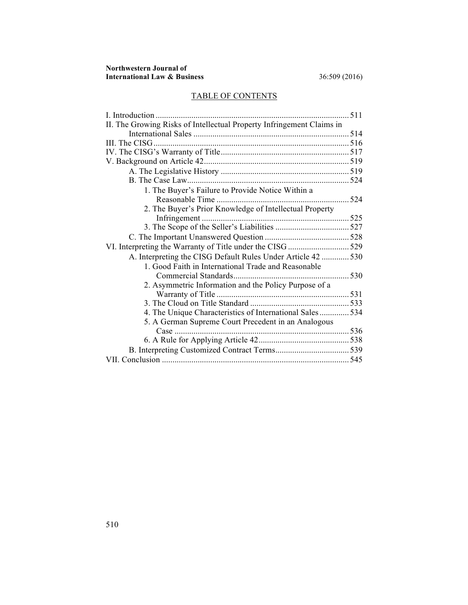## TABLE OF CONTENTS

| II. The Growing Risks of Intellectual Property Infringement Claims in |  |
|-----------------------------------------------------------------------|--|
|                                                                       |  |
|                                                                       |  |
|                                                                       |  |
|                                                                       |  |
|                                                                       |  |
|                                                                       |  |
| 1. The Buyer's Failure to Provide Notice Within a                     |  |
|                                                                       |  |
| 2. The Buyer's Prior Knowledge of Intellectual Property               |  |
|                                                                       |  |
|                                                                       |  |
|                                                                       |  |
| VI. Interpreting the Warranty of Title under the CISG 529             |  |
| A. Interpreting the CISG Default Rules Under Article 42 530           |  |
| 1. Good Faith in International Trade and Reasonable                   |  |
|                                                                       |  |
| 2. Asymmetric Information and the Policy Purpose of a                 |  |
|                                                                       |  |
|                                                                       |  |
| 4. The Unique Characteristics of International Sales 534              |  |
| 5. A German Supreme Court Precedent in an Analogous                   |  |
| Case                                                                  |  |
|                                                                       |  |
|                                                                       |  |
|                                                                       |  |
|                                                                       |  |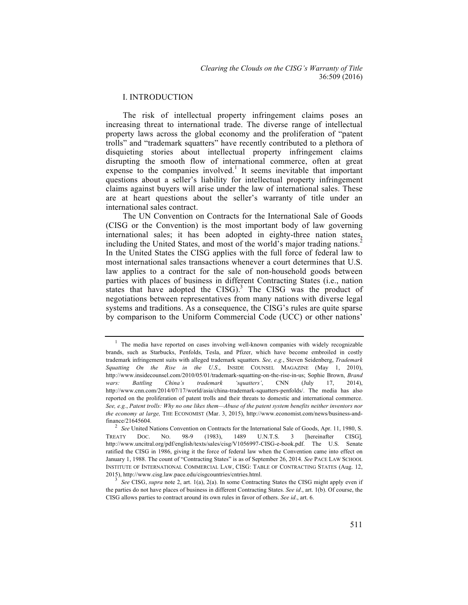### I. INTRODUCTION

The risk of intellectual property infringement claims poses an increasing threat to international trade. The diverse range of intellectual property laws across the global economy and the proliferation of "patent trolls" and "trademark squatters" have recently contributed to a plethora of disquieting stories about intellectual property infringement claims disrupting the smooth flow of international commerce, often at great expense to the companies involved.<sup>1</sup> It seems inevitable that important questions about a seller's liability for intellectual property infringement claims against buyers will arise under the law of international sales. These are at heart questions about the seller's warranty of title under an international sales contract.

The UN Convention on Contracts for the International Sale of Goods (CISG or the Convention) is the most important body of law governing international sales; it has been adopted in eighty-three nation states, including the United States, and most of the world's major trading nations.<sup>2</sup> In the United States the CISG applies with the full force of federal law to most international sales transactions whenever a court determines that U.S. law applies to a contract for the sale of non-household goods between parties with places of business in different Contracting States (i.e., nation states that have adopted the  $CISG$ .<sup>3</sup> The CISG was the product of negotiations between representatives from many nations with diverse legal systems and traditions. As a consequence, the CISG's rules are quite sparse by comparison to the Uniform Commercial Code (UCC) or other nations'

<sup>&</sup>lt;sup>1</sup> The media have reported on cases involving well-known companies with widely recognizable brands, such as Starbucks, Penfolds, Tesla, and Pfizer, which have become embroiled in costly trademark infringement suits with alleged trademark squatters. *See, e.g.*, Steven Seidenberg, *Trademark Squatting On the Rise in the U.S*., INSIDE COUNSEL MAGAZINE (May 1, 2010), http://www.insidecounsel.com/2010/05/01/trademark-squatting-on-the-rise-in-us; Sophie Brown, *Brand wars: Battling China's trademark 'squatters'*, CNN (July 17, 2014), http://www.cnn.com/2014/07/17/world/asia/china-trademark-squatters-penfolds/. The media has also reported on the proliferation of patent trolls and their threats to domestic and international commerce. *See, e.g.*, *Patent trolls: Why no one likes them—Abuse of the patent system benefits neither inventors nor the economy at large,* THE ECONOMIST (Mar. 3, 2015), http://www.economist.com/news/business-andfinance/21645604. <sup>2</sup> *See* United Nations Convention on Contracts for the International Sale of Goods, Apr. 11, 1980, S.

TREATY DOC. NO. 98-9 (1983), 1489 U.N.T.S. 3 [hereinafter CISG]*,*  http://www.uncitral.org/pdf/english/texts/sales/cisg/V1056997-CISG-e-book.pdf. The U.S. Senate ratified the CISG in 1986, giving it the force of federal law when the Convention came into effect on January 1, 1988. The count of "Contracting States" is as of September 26, 2014. *See* PACE LAW SCHOOL INSTITUTE OF INTERNATIONAL COMMERCIAL LAW, CISG: TABLE OF CONTRACTING STATES (Aug. 12, 2015), http://www.cisg.law.pace.edu/cisgcountries/cntries.html. <sup>3</sup> *See* CISG, *supra* note 2, art. 1(a), 2(a). In some Contracting States the CISG might apply even if

the parties do not have places of business in different Contracting States. *See id*., art. 1(b). Of course, the CISG allows parties to contract around its own rules in favor of others. *See id*., art. 6.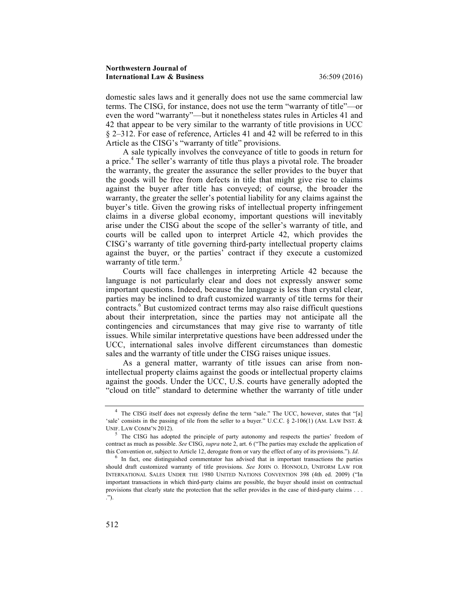domestic sales laws and it generally does not use the same commercial law terms. The CISG, for instance, does not use the term "warranty of title"—or even the word "warranty"—but it nonetheless states rules in Articles 41 and 42 that appear to be very similar to the warranty of title provisions in UCC § 2–312. For ease of reference, Articles 41 and 42 will be referred to in this Article as the CISG's "warranty of title" provisions.

A sale typically involves the conveyance of title to goods in return for a price.<sup>4</sup> The seller's warranty of title thus plays a pivotal role. The broader the warranty, the greater the assurance the seller provides to the buyer that the goods will be free from defects in title that might give rise to claims against the buyer after title has conveyed; of course, the broader the warranty, the greater the seller's potential liability for any claims against the buyer's title. Given the growing risks of intellectual property infringement claims in a diverse global economy, important questions will inevitably arise under the CISG about the scope of the seller's warranty of title, and courts will be called upon to interpret Article 42, which provides the CISG's warranty of title governing third-party intellectual property claims against the buyer, or the parties' contract if they execute a customized warranty of title term.<sup>5</sup>

Courts will face challenges in interpreting Article 42 because the language is not particularly clear and does not expressly answer some important questions. Indeed, because the language is less than crystal clear, parties may be inclined to draft customized warranty of title terms for their contracts.<sup>6</sup> But customized contract terms may also raise difficult questions about their interpretation, since the parties may not anticipate all the contingencies and circumstances that may give rise to warranty of title issues. While similar interpretative questions have been addressed under the UCC, international sales involve different circumstances than domestic sales and the warranty of title under the CISG raises unique issues.

As a general matter, warranty of title issues can arise from nonintellectual property claims against the goods or intellectual property claims against the goods. Under the UCC, U.S. courts have generally adopted the "cloud on title" standard to determine whether the warranty of title under

<sup>&</sup>lt;sup>4</sup> The CISG itself does not expressly define the term "sale." The UCC, however, states that "[a] 'sale' consists in the passing of tile from the seller to a buyer." U.C.C. § 2-106(1) (AM. LAW INST. & UNIF. LAW COMM'N 2012).<br><sup>5</sup> The CISG has adopted the principle of party autonomy and respects the parties' freedom of

contract as much as possible. *See* CISG, *supra* note 2, art. 6 ("The parties may exclude the application of this Convention or, subject to Article 12, derogate from or vary the effect of any of its provisions."). *Id*. 6 In fact, one distinguished commentator has advised that in important transactions the parties

should draft customized warranty of title provisions. *See* JOHN O. HONNOLD, UNIFORM LAW FOR INTERNATIONAL SALES UNDER THE 1980 UNITED NATIONS CONVENTION 398 (4th ed. 2009) ("In important transactions in which third-party claims are possible, the buyer should insist on contractual provisions that clearly state the protection that the seller provides in the case of third-party claims . . . .").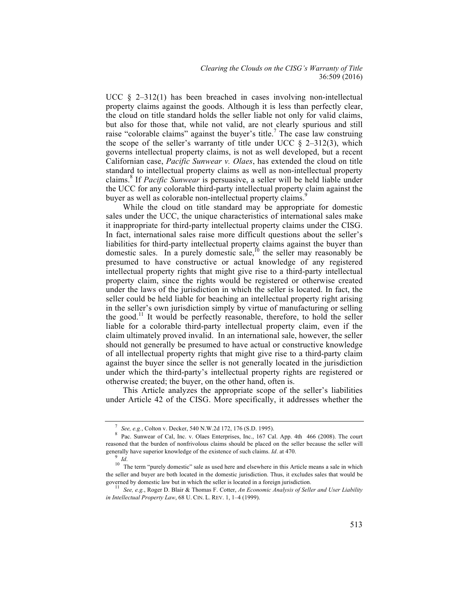UCC  $\S$  2-312(1) has been breached in cases involving non-intellectual property claims against the goods. Although it is less than perfectly clear, the cloud on title standard holds the seller liable not only for valid claims, but also for those that, while not valid, are not clearly spurious and still raise "colorable claims" against the buyer's title.<sup>7</sup> The case law construing the scope of the seller's warranty of title under UCC  $\S$  2–312(3), which governs intellectual property claims, is not as well developed, but a recent Californian case, *Pacific Sunwear v. Olaes*, has extended the cloud on title standard to intellectual property claims as well as non-intellectual property claims.<sup>8</sup> If *Pacific Sunwear* is persuasive, a seller will be held liable under the UCC for any colorable third-party intellectual property claim against the buyer as well as colorable non-intellectual property claims.<sup>9</sup>

While the cloud on title standard may be appropriate for domestic sales under the UCC, the unique characteristics of international sales make it inappropriate for third-party intellectual property claims under the CISG. In fact, international sales raise more difficult questions about the seller's liabilities for third-party intellectual property claims against the buyer than domestic sales. In a purely domestic sale,<sup>10</sup> the seller may reasonably be presumed to have constructive or actual knowledge of any registered intellectual property rights that might give rise to a third-party intellectual property claim, since the rights would be registered or otherwise created under the laws of the jurisdiction in which the seller is located. In fact, the seller could be held liable for beaching an intellectual property right arising in the seller's own jurisdiction simply by virtue of manufacturing or selling the good.<sup>11</sup> It would be perfectly reasonable, therefore, to hold the seller liable for a colorable third-party intellectual property claim, even if the claim ultimately proved invalid. In an international sale, however, the seller should not generally be presumed to have actual or constructive knowledge of all intellectual property rights that might give rise to a third-party claim against the buyer since the seller is not generally located in the jurisdiction under which the third-party's intellectual property rights are registered or otherwise created; the buyer, on the other hand, often is.

This Article analyzes the appropriate scope of the seller's liabilities under Article 42 of the CISG. More specifically, it addresses whether the

<sup>&</sup>lt;sup>7</sup> *See, e.g.*, Colton v. Decker, 540 N.W.2d 172, 176 (S.D. 1995). <sup>8</sup> Pac. Sunwear of Cal, Inc. v. Olaes Enterprises, Inc., 167 Cal. App. 4th 466 (2008). The court reasoned that the burden of nonfrivolous claims should be placed on the seller because the seller will

generally have superior knowledge of the existence of such claims. *Id*. at 470.<br><sup>9</sup> *Id*. <sup>10</sup> The term "purely domestic" sale as used here and elsewhere in this Article means a sale in which the seller and buyer are both located in the domestic jurisdiction. Thus, it excludes sales that would be governed by domestic law but in which the seller is located in a foreign jurisdiction.<br><sup>11</sup> *See, e.g.*, Roger D. Blair & Thomas F. Cotter, *An Economic Analysis of Seller and User Liability* 

*in Intellectual Property Law*, 68 U. CIN. L. REV. 1, 1–4 (1999).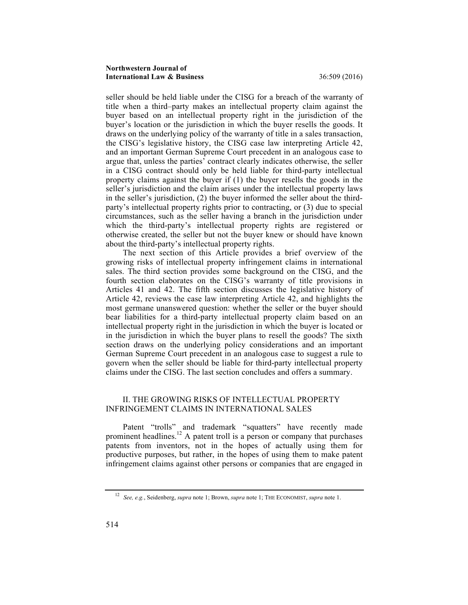seller should be held liable under the CISG for a breach of the warranty of title when a third–party makes an intellectual property claim against the buyer based on an intellectual property right in the jurisdiction of the buyer's location or the jurisdiction in which the buyer resells the goods. It draws on the underlying policy of the warranty of title in a sales transaction, the CISG's legislative history, the CISG case law interpreting Article 42, and an important German Supreme Court precedent in an analogous case to argue that, unless the parties' contract clearly indicates otherwise, the seller in a CISG contract should only be held liable for third-party intellectual property claims against the buyer if (1) the buyer resells the goods in the seller's jurisdiction and the claim arises under the intellectual property laws in the seller's jurisdiction, (2) the buyer informed the seller about the thirdparty's intellectual property rights prior to contracting, or (3) due to special circumstances, such as the seller having a branch in the jurisdiction under which the third-party's intellectual property rights are registered or otherwise created, the seller but not the buyer knew or should have known about the third-party's intellectual property rights.

The next section of this Article provides a brief overview of the growing risks of intellectual property infringement claims in international sales. The third section provides some background on the CISG, and the fourth section elaborates on the CISG's warranty of title provisions in Articles 41 and 42. The fifth section discusses the legislative history of Article 42, reviews the case law interpreting Article 42, and highlights the most germane unanswered question: whether the seller or the buyer should bear liabilities for a third-party intellectual property claim based on an intellectual property right in the jurisdiction in which the buyer is located or in the jurisdiction in which the buyer plans to resell the goods? The sixth section draws on the underlying policy considerations and an important German Supreme Court precedent in an analogous case to suggest a rule to govern when the seller should be liable for third-party intellectual property claims under the CISG. The last section concludes and offers a summary.

## II. THE GROWING RISKS OF INTELLECTUAL PROPERTY INFRINGEMENT CLAIMS IN INTERNATIONAL SALES

Patent "trolls" and trademark "squatters" have recently made prominent headlines.<sup>12</sup> A patent troll is a person or company that purchases patents from inventors, not in the hopes of actually using them for productive purposes, but rather, in the hopes of using them to make patent infringement claims against other persons or companies that are engaged in

<sup>12</sup> *See, e.g.*, Seidenberg, *supra* note 1; Brown, *supra* note 1; THE ECONOMIST, *supra* note 1.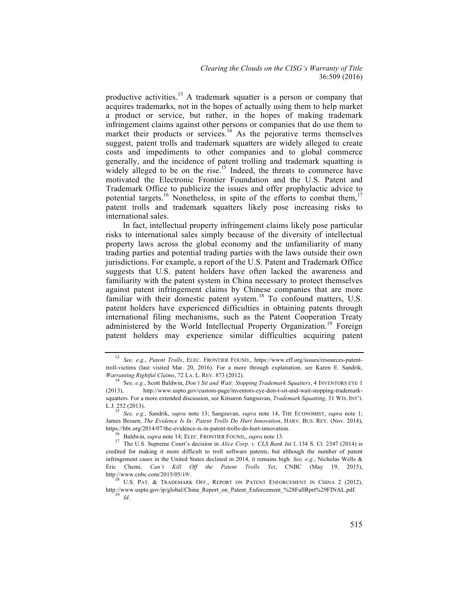productive activities.<sup>13</sup> A trademark squatter is a person or company that acquires trademarks, not in the hopes of actually using them to help market a product or service, but rather, in the hopes of making trademark infringement claims against other persons or companies that do use them to market their products or services.<sup>14</sup> As the pejorative terms themselves suggest, patent trolls and trademark squatters are widely alleged to create costs and impediments to other companies and to global commerce generally, and the incidence of patent trolling and trademark squatting is widely alleged to be on the rise.<sup>15</sup> Indeed, the threats to commerce have motivated the Electronic Frontier Foundation and the U.S. Patent and Trademark Office to publicize the issues and offer prophylactic advice to potential targets.<sup>16</sup> Nonetheless, in spite of the efforts to combat them,<sup>17</sup> patent trolls and trademark squatters likely pose increasing risks to international sales.

In fact, intellectual property infringement claims likely pose particular risks to international sales simply because of the diversity of intellectual property laws across the global economy and the unfamiliarity of many trading parties and potential trading parties with the laws outside their own jurisdictions. For example, a report of the U.S. Patent and Trademark Office suggests that U.S. patent holders have often lacked the awareness and familiarity with the patent system in China necessary to protect themselves against patent infringement claims by Chinese companies that are more familiar with their domestic patent system.<sup>18</sup> To confound matters, U.S. patent holders have experienced difficulties in obtaining patents through international filing mechanisms, such as the Patent Cooperation Treaty administered by the World Intellectual Property Organization.<sup>19</sup> Foreign patent holders may experience similar difficulties acquiring patent

<sup>13</sup> *See, e.g.*, *Patent Trolls*, ELEC. FRONTIER FOUND., https://www.eff.org/issues/resources-patenttroll-victims (last visited Mar. 20, 2016). For a more through explanation, see Karen E. Sandrik,

*Warranting Rightful Claims*, 72 LA. L. REV. 873 (2012). <sup>14</sup> <sup>S</sup>*ee, e.g.*, Scott Baldwin, *Don't Sit and Wait: Stopping Trademark Squatters*, 4 INVENTORS EYE <sup>1</sup> (2013), http://www.uspto.gov/custom-page/inventors-eye-don-t-sit-and-wait-stopping-trademarksquatters. For a more extended discussion, see Kitsuron Sangsuvan, *Trademark Squatting*, 31 WIS. INT'L L.J. 252 (2013).

<sup>15</sup> *See, e.g.*, Sandrik, *supra* note 13; Sangsuvan, *supra* note 14, THE ECONOMIST, *supra* note 1; James Bessen, *The Evidence Is In: Patent Trolls Do Hurt Innovation*, HARV. BUS. REV. (Nov. 2014), https://hbr.org/2014/07/the-evidence-is-in-patent-trolls-do-hurt-innovation.

<sup>&</sup>lt;sup>16</sup> Baldwin, *supra* note 14; ELEC. FRONTIER FOUND,, *supra* note 13.<br><sup>17</sup> The U.S. Supreme Court's decision in *Alice Corp. v. CLS Bank Int'l*, 134 S. Ct. 2347 (2014) is credited for making it more difficult to troll software patents, but although the number of patent infringement cases in the United States declined in 2014, it remains high. *See, e.g.*, Nicholas Wells & Eric Chemi, *Can't Kill Off the Patent Trolls Yet*, CNBC (May 19, 2015), http://www.enbc.com/2015/05/19/.

 $18$  U.S. PAT. & TRADEMARK OFF., REPORT ON PATENT ENFORCEMENT IN CHINA 2 (2012), http://www.uspto.gov/ip/global/China\_Report\_on\_Patent\_Enforcement\_%28FullRprt%29FINAL.pdf. 19 *Id*.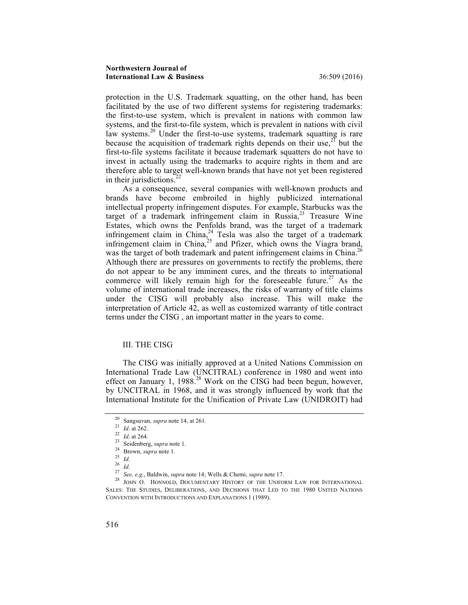protection in the U.S. Trademark squatting, on the other hand, has been facilitated by the use of two different systems for registering trademarks: the first-to-use system, which is prevalent in nations with common law systems, and the first-to-file system, which is prevalent in nations with civil law systems.<sup>20</sup> Under the first-to-use systems, trademark squatting is rare because the acquisition of trademark rights depends on their use,<sup>21</sup> but the first-to-file systems facilitate it because trademark squatters do not have to invest in actually using the trademarks to acquire rights in them and are therefore able to target well-known brands that have not yet been registered in their jurisdictions.<sup>2</sup>

As a consequence, several companies with well-known products and brands have become embroiled in highly publicized international intellectual property infringement disputes. For example, Starbucks was the target of a trademark infringement claim in Russia, $2<sup>3</sup>$  Treasure Wine Estates, which owns the Penfolds brand, was the target of a trademark infringement claim in China, $24$  Tesla was also the target of a trademark infringement claim in China, $^{25}$  and Pfizer, which owns the Viagra brand, was the target of both trademark and patent infringement claims in China.<sup>26</sup> Although there are pressures on governments to rectify the problems, there do not appear to be any imminent cures, and the threats to international commerce will likely remain high for the foreseeable future.<sup>27</sup> As the volume of international trade increases, the risks of warranty of title claims under the CISG will probably also increase. This will make the interpretation of Article 42, as well as customized warranty of title contract terms under the CISG , an important matter in the years to come.

## III. THE CISG

The CISG was initially approved at a United Nations Commission on International Trade Law (UNCITRAL) conference in 1980 and went into effect on January 1,  $1988<sup>28</sup>$  Work on the CISG had been begun, however, by UNCITRAL in 1968, and it was strongly influenced by work that the International Institute for the Unification of Private Law (UNIDROIT) had

<sup>&</sup>lt;sup>20</sup> Sangsuvan, *supra* note 14, at 261.<br>
<sup>21</sup> *Id.* at 262.<br>
<sup>22</sup> *Id.* at 264.<br>
Seidenberg, *supra* note 1.<br>
<sup>24</sup> Brown, *supra* note 1.<br>
<sup>25</sup> *Id.*<br>
<sup>26</sup> *Id.*<br>
<sup>26</sup> *Id.*<br>
<sup>27</sup> *See, e.g.*, Baldwin, *supra* note 14; W SALES: THE STUDIES, DELIBERATIONS, AND DECISIONS THAT LED TO THE 1980 UNITED NATIONS CONVENTION WITH INTRODUCTIONS AND EXPLANATIONS 1 (1989).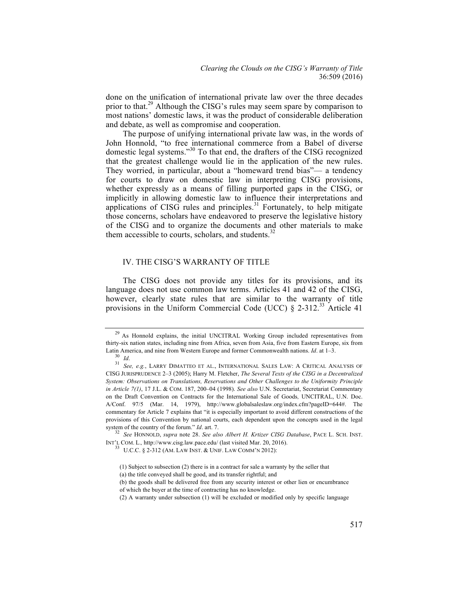done on the unification of international private law over the three decades prior to that.<sup>29</sup> Although the CISG's rules may seem spare by comparison to most nations' domestic laws, it was the product of considerable deliberation and debate, as well as compromise and cooperation.

The purpose of unifying international private law was, in the words of John Honnold, "to free international commerce from a Babel of diverse domestic legal systems."<sup>30</sup> To that end, the drafters of the CISG recognized that the greatest challenge would lie in the application of the new rules. They worried, in particular, about a "homeward trend bias"— a tendency for courts to draw on domestic law in interpreting CISG provisions, whether expressly as a means of filling purported gaps in the CISG, or implicitly in allowing domestic law to influence their interpretations and applications of  $CISG$  rules and principles.<sup>31</sup> Fortunately, to help mitigate those concerns, scholars have endeavored to preserve the legislative history of the CISG and to organize the documents and other materials to make them accessible to courts, scholars, and students.<sup>32</sup>

## IV. THE CISG'S WARRANTY OF TITLE

The CISG does not provide any titles for its provisions, and its language does not use common law terms. Articles 41 and 42 of the CISG, however, clearly state rules that are similar to the warranty of title provisions in the Uniform Commercial Code (UCC) § 2-312.<sup>33</sup> Article 41

<sup>&</sup>lt;sup>29</sup> As Honnold explains, the initial UNCITRAL Working Group included representatives from thirty-six nation states, including nine from Africa, seven from Asia, five from Eastern Europe, six from

Latin America, and nine from Western Europe and former Commonwealth nations. *Id.* at 1–3.<br><sup>30</sup> *Id.* 31 *See, e.g.*, LARRY DIMATTEO ET AL., INTERNATIONAL SALES LAW: A CRITICAL ANALYSIS OF CISG JURISPRUDENCE 2–3 (2005); Harry M. Fletcher, *The Several Texts of the CISG in a Decentralized System: Observations on Translations, Reservations and Other Challenges to the Uniformity Principle in Article 7(1)*, 17 J.L. & COM. 187, 200–04 (1998). *See also* U.N. Secretariat, Secretariat Commentary on the Draft Convention on Contracts for the International Sale of Goods*,* UNCITRAL, U.N. Doc. A/Conf. 97/5 (Mar. 14, 1979), http://www.globalsaleslaw.org/index.cfm?pageID=644#. The commentary for Article 7 explains that "it is especially important to avoid different constructions of the provisions of this Convention by national courts, each dependent upon the concepts used in the legal system of the country of the forum." *Id*. art. 7. 32 *See* HONNOLD, *supra* note 28. *See also Albert H. Krtizer CISG Database*, PACE L. SCH. INST.

INT'L COM. L., http://www.cisg.law.pace.edu/ (last visited Mar. 20, 2016).<br><sup>33</sup> U.C.C. § 2-312 (AM. LAW INST. & UNIF. LAW COMM'N 2012):

<sup>(1)</sup> Subject to subsection (2) there is in a contract for sale a warranty by the seller that

<sup>(</sup>a) the title conveyed shall be good, and its transfer rightful; and

<sup>(</sup>b) the goods shall be delivered free from any security interest or other lien or encumbrance

of which the buyer at the time of contracting has no knowledge.

<sup>(2)</sup> A warranty under subsection (1) will be excluded or modified only by specific language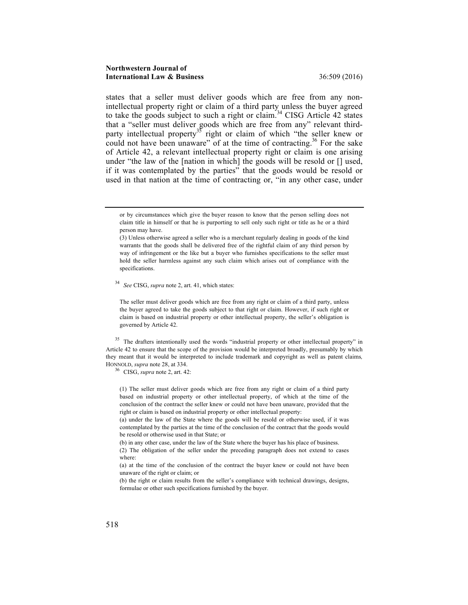states that a seller must deliver goods which are free from any nonintellectual property right or claim of a third party unless the buyer agreed to take the goods subject to such a right or claim.<sup>34</sup> CISG Article 42 states that a "seller must deliver goods which are free from any" relevant thirdparty intellectual property<sup>35</sup> right or claim of which "the seller knew or could not have been unaware" of at the time of contracting.<sup>36</sup> For the sake of Article 42, a relevant intellectual property right or claim is one arising under "the law of the [nation in which] the goods will be resold or [] used, if it was contemplated by the parties" that the goods would be resold or used in that nation at the time of contracting or, "in any other case, under

<sup>34</sup> *See* CISG, *supra* note 2, art. 41, which states:

The seller must deliver goods which are free from any right or claim of a third party, unless the buyer agreed to take the goods subject to that right or claim. However, if such right or claim is based on industrial property or other intellectual property, the seller's obligation is governed by Article 42.

<sup>35</sup> The drafters intentionally used the words "industrial property or other intellectual property" in Article 42 to ensure that the scope of the provision would be interpreted broadly, presumably by which they meant that it would be interpreted to include trademark and copyright as well as patent claims*,*  HONNOLD, *supra* note 28, at 334. <sup>36</sup> CISG, *supra* note 2, art. 42:

(1) The seller must deliver goods which are free from any right or claim of a third party based on industrial property or other intellectual property, of which at the time of the conclusion of the contract the seller knew or could not have been unaware, provided that the right or claim is based on industrial property or other intellectual property:

(a) under the law of the State where the goods will be resold or otherwise used, if it was contemplated by the parties at the time of the conclusion of the contract that the goods would be resold or otherwise used in that State; or

(b) in any other case, under the law of the State where the buyer has his place of business.

(2) The obligation of the seller under the preceding paragraph does not extend to cases where:

(a) at the time of the conclusion of the contract the buyer knew or could not have been unaware of the right or claim; or

(b) the right or claim results from the seller's compliance with technical drawings, designs, formulae or other such specifications furnished by the buyer.

or by circumstances which give the buyer reason to know that the person selling does not claim title in himself or that he is purporting to sell only such right or title as he or a third person may have.

<sup>(3)</sup> Unless otherwise agreed a seller who is a merchant regularly dealing in goods of the kind warrants that the goods shall be delivered free of the rightful claim of any third person by way of infringement or the like but a buyer who furnishes specifications to the seller must hold the seller harmless against any such claim which arises out of compliance with the specifications.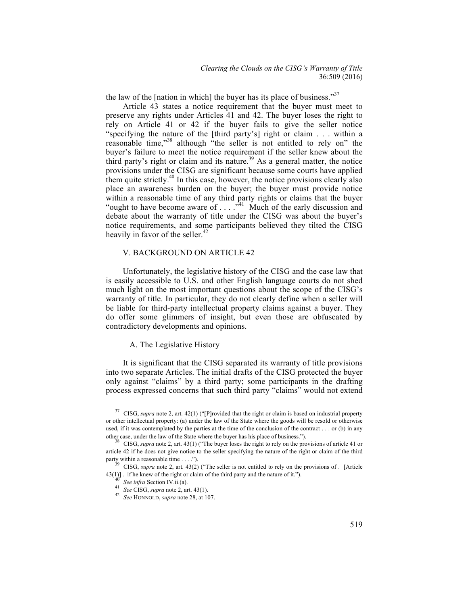the law of the [nation in which] the buyer has its place of business."<sup>37</sup>

Article 43 states a notice requirement that the buyer must meet to preserve any rights under Articles 41 and 42. The buyer loses the right to rely on Article 41 or 42 if the buyer fails to give the seller notice "specifying the nature of the [third party's] right or claim . . . within a reasonable time,"<sup>38</sup> although "the seller is not entitled to rely on" the buyer's failure to meet the notice requirement if the seller knew about the third party's right or claim and its nature.<sup>39</sup> As a general matter, the notice provisions under the CISG are significant because some courts have applied them quite strictly.<sup>40</sup> In this case, however, the notice provisions clearly also place an awareness burden on the buyer; the buyer must provide notice within a reasonable time of any third party rights or claims that the buyer "ought to have become aware of  $\dots$  ."<sup>41</sup> Much of the early discussion and debate about the warranty of title under the CISG was about the buyer's notice requirements, and some participants believed they tilted the CISG heavily in favor of the seller. $42$ 

## V. BACKGROUND ON ARTICLE 42

Unfortunately, the legislative history of the CISG and the case law that is easily accessible to U.S. and other English language courts do not shed much light on the most important questions about the scope of the CISG's warranty of title. In particular, they do not clearly define when a seller will be liable for third-party intellectual property claims against a buyer. They do offer some glimmers of insight, but even those are obfuscated by contradictory developments and opinions.

#### A. The Legislative History

It is significant that the CISG separated its warranty of title provisions into two separate Articles. The initial drafts of the CISG protected the buyer only against "claims" by a third party; some participants in the drafting process expressed concerns that such third party "claims" would not extend

<sup>37</sup> CISG, *supra* note 2, art. 42(1) ("[P]rovided that the right or claim is based on industrial property or other intellectual property: (a) under the law of the State where the goods will be resold or otherwise used, if it was contemplated by the parties at the time of the conclusion of the contract . . . or (b) in any other case, under the law of the State where the buyer has his place of business."). <sup>38</sup> CISG, *supra* note 2, art. 43(1) ("The buyer loses the right to rely on the provisions of article 41 or

article 42 if he does not give notice to the seller specifying the nature of the right or claim of the third party within a reasonable time . . . .").<br><sup>39</sup> CISG, *supra* note 2, art. 43(2) ("The seller is not entitled to rely on the provisions of . [Article

<sup>43(1)].</sup> if he knew of the right or claim of the third party and the nature of it.").<br>
<sup>40</sup> See infra Section IV.ii.(a).<br>
<sup>41</sup> See CISG, supra note 2, art. 43(1).<br>
<sup>42</sup> See HONNOLD, supra note 28, at 107.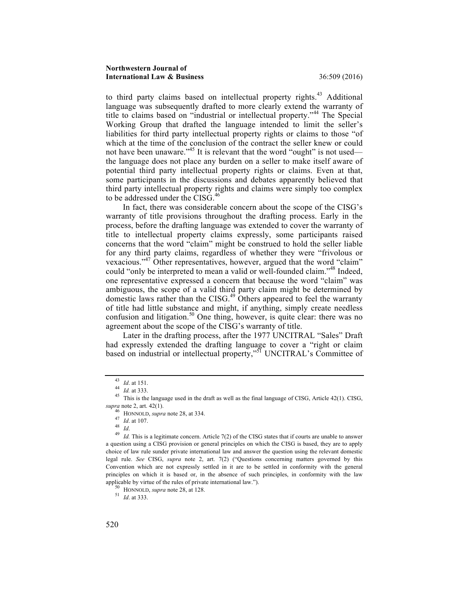to third party claims based on intellectual property rights.<sup>43</sup> Additional language was subsequently drafted to more clearly extend the warranty of title to claims based on "industrial or intellectual property."<sup>44</sup> The Special Working Group that drafted the language intended to limit the seller's liabilities for third party intellectual property rights or claims to those "of which at the time of the conclusion of the contract the seller knew or could not have been unaware."<sup>45</sup> It is relevant that the word "ought" is not used the language does not place any burden on a seller to make itself aware of potential third party intellectual property rights or claims. Even at that, some participants in the discussions and debates apparently believed that third party intellectual property rights and claims were simply too complex to be addressed under the  $\rm \tilde{C}IS\tilde{G}^{46}$ 

In fact, there was considerable concern about the scope of the CISG's warranty of title provisions throughout the drafting process. Early in the process, before the drafting language was extended to cover the warranty of title to intellectual property claims expressly, some participants raised concerns that the word "claim" might be construed to hold the seller liable for any third party claims, regardless of whether they were "frivolous or vexacious."<sup>47</sup> Other representatives, however, argued that the word "claim" could "only be interpreted to mean a valid or well-founded claim."<sup>48</sup> Indeed, one representative expressed a concern that because the word "claim" was ambiguous, the scope of a valid third party claim might be determined by domestic laws rather than the CISG.<sup>49</sup> Others appeared to feel the warranty of title had little substance and might, if anything, simply create needless confusion and litigation.<sup>50</sup> One thing, however, is quite clear: there was no agreement about the scope of the CISG's warranty of title.

Later in the drafting process, after the 1977 UNCITRAL "Sales" Draft had expressly extended the drafting language to cover a "right or claim based on industrial or intellectual property,"<sup>51</sup> UNCITRAL's Committee of

<sup>&</sup>lt;sup>43</sup> *Id.* at 151.<br><sup>44</sup> *Id.* at 333.<br><sup>45</sup> This is the language used in the draft as well as the final language of CISG, Article 42(1). CISG, *supra* note 2, art. 42(1).<br>
<sup>46</sup> HONNOLD, *supra* note 28, at 334.<br>
<sup>47</sup> *Id.* at 107.<br>
<sup>48</sup> *Id.* This is a legitimate concern. Article 7(2) of the CISG states that if courts are unable to answer

a question using a CISG provision or general principles on which the CISG is based, they are to apply choice of law rule sunder private international law and answer the question using the relevant domestic legal rule. *See* CISG, *supra* note 2, art. 7(2) ("Questions concerning matters governed by this Convention which are not expressly settled in it are to be settled in conformity with the general principles on which it is based or, in the absence of such principles, in conformity with the law applicable by virtue of the rules of private international law."). <sup>50</sup> HONNOLD, *supra* note 28, at 128. <sup>51</sup> *Id*. at 333.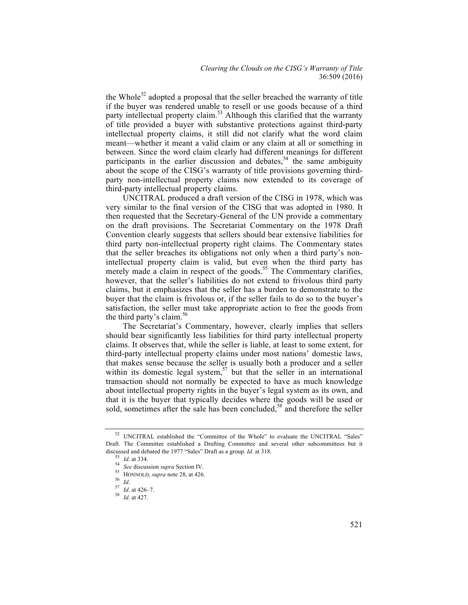the Whole<sup>52</sup> adopted a proposal that the seller breached the warranty of title if the buyer was rendered unable to resell or use goods because of a third party intellectual property claim.<sup>53</sup> Although this clarified that the warranty of title provided a buyer with substantive protections against third-party intellectual property claims, it still did not clarify what the word claim meant—whether it meant a valid claim or any claim at all or something in between. Since the word claim clearly had different meanings for different participants in the earlier discussion and debates,<sup>54</sup> the same ambiguity about the scope of the CISG's warranty of title provisions governing thirdparty non-intellectual property claims now extended to its coverage of third-party intellectual property claims.

UNCITRAL produced a draft version of the CISG in 1978, which was very similar to the final version of the CISG that was adopted in 1980. It then requested that the Secretary-General of the UN provide a commentary on the draft provisions. The Secretariat Commentary on the 1978 Draft Convention clearly suggests that sellers should bear extensive liabilities for third party non-intellectual property right claims. The Commentary states that the seller breaches its obligations not only when a third party's nonintellectual property claim is valid, but even when the third party has merely made a claim in respect of the goods.<sup>55</sup> The Commentary clarifies, however, that the seller's liabilities do not extend to frivolous third party claims, but it emphasizes that the seller has a burden to demonstrate to the buyer that the claim is frivolous or, if the seller fails to do so to the buyer's satisfaction, the seller must take appropriate action to free the goods from the third party's claim.<sup>56</sup>

The Secretariat's Commentary, however, clearly implies that sellers should bear significantly less liabilities for third party intellectual property claims. It observes that, while the seller is liable, at least to some extent, for third-party intellectual property claims under most nations' domestic laws, that makes sense because the seller is usually both a producer and a seller within its domestic legal system,  $57$  but that the seller in an international transaction should not normally be expected to have as much knowledge about intellectual property rights in the buyer's legal system as its own, and that it is the buyer that typically decides where the goods will be used or sold, sometimes after the sale has been concluded,<sup>58</sup> and therefore the seller

<sup>52</sup> UNCITRAL established the "Committee of the Whole" to evaluate the UNCITRAL "Sales" Draft. The Committee established a Drafting Committee and several other subcommittees but it discussed and debated the 1977 "Sales" Draft as a group. *Id.* at 318.<br>
<sup>53</sup> *Id.* at 334.<br>
<sup>54</sup> *See* discussion *supra* Section IV.<br>
<sup>55</sup> HONNOLD, *supra* note 28, at 426.<br>
<sup>57</sup> *Id.* at 426–7.<br>
<sup>57</sup> *Id.* at 427.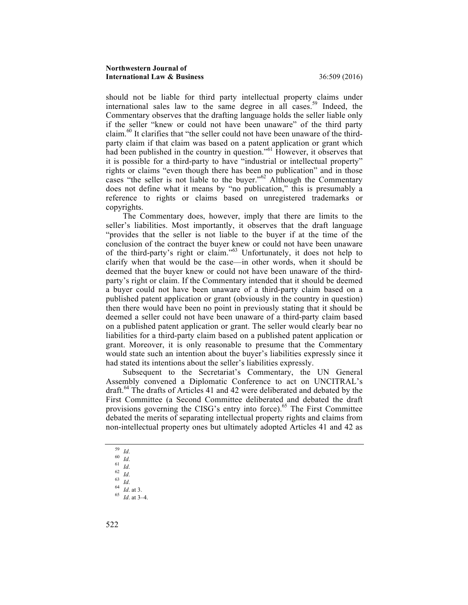should not be liable for third party intellectual property claims under international sales law to the same degree in all cases.<sup>59</sup> Indeed, the Commentary observes that the drafting language holds the seller liable only if the seller "knew or could not have been unaware" of the third party claim.60 It clarifies that "the seller could not have been unaware of the thirdparty claim if that claim was based on a patent application or grant which had been published in the country in question.<sup>"61</sup> However, it observes that it is possible for a third-party to have "industrial or intellectual property" rights or claims "even though there has been no publication" and in those cases "the seller is not liable to the buyer."<sup>62</sup> Although the Commentary does not define what it means by "no publication," this is presumably a reference to rights or claims based on unregistered trademarks or copyrights.

The Commentary does, however, imply that there are limits to the seller's liabilities. Most importantly, it observes that the draft language "provides that the seller is not liable to the buyer if at the time of the conclusion of the contract the buyer knew or could not have been unaware of the third-party's right or claim."<sup>63</sup> Unfortunately, it does not help to clarify when that would be the case—in other words, when it should be deemed that the buyer knew or could not have been unaware of the thirdparty's right or claim. If the Commentary intended that it should be deemed a buyer could not have been unaware of a third-party claim based on a published patent application or grant (obviously in the country in question) then there would have been no point in previously stating that it should be deemed a seller could not have been unaware of a third-party claim based on a published patent application or grant. The seller would clearly bear no liabilities for a third-party claim based on a published patent application or grant. Moreover, it is only reasonable to presume that the Commentary would state such an intention about the buyer's liabilities expressly since it had stated its intentions about the seller's liabilities expressly.

Subsequent to the Secretariat's Commentary, the UN General Assembly convened a Diplomatic Conference to act on UNCITRAL's draft.<sup>64</sup> The drafts of Articles 41 and 42 were deliberated and debated by the First Committee (a Second Committee deliberated and debated the draft provisions governing the CISG's entry into force).<sup>65</sup> The First Committee debated the merits of separating intellectual property rights and claims from non-intellectual property ones but ultimately adopted Articles 41 and 42 as

- 
- 
- 
- 
- 
- 59 *Id*. 60 *Id*. 61 *Id*. 62 *Id*. 63 *Id*. 64 *Id*. at 3. 65 *Id*. at 3–4.

<sup>522</sup>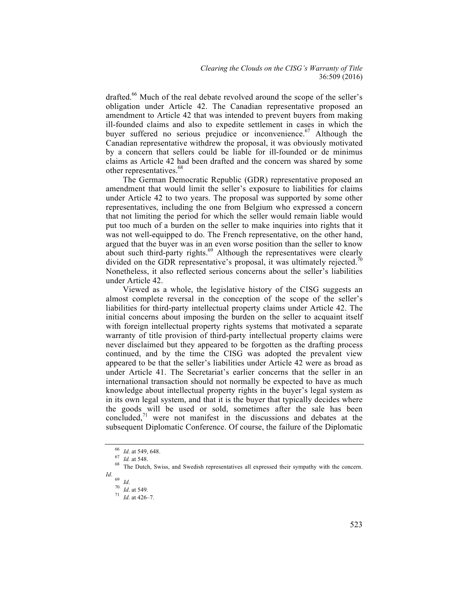drafted.<sup>66</sup> Much of the real debate revolved around the scope of the seller's obligation under Article 42. The Canadian representative proposed an amendment to Article 42 that was intended to prevent buyers from making ill-founded claims and also to expedite settlement in cases in which the buyer suffered no serious prejudice or inconvenience.<sup>67</sup> Although the Canadian representative withdrew the proposal, it was obviously motivated by a concern that sellers could be liable for ill-founded or de minimus claims as Article 42 had been drafted and the concern was shared by some other representatives.<sup>68</sup>

The German Democratic Republic (GDR) representative proposed an amendment that would limit the seller's exposure to liabilities for claims under Article 42 to two years. The proposal was supported by some other representatives, including the one from Belgium who expressed a concern that not limiting the period for which the seller would remain liable would put too much of a burden on the seller to make inquiries into rights that it was not well-equipped to do. The French representative, on the other hand, argued that the buyer was in an even worse position than the seller to know about such third-party rights. $69$  Although the representatives were clearly divided on the GDR representative's proposal, it was ultimately rejected.<sup>70</sup> Nonetheless, it also reflected serious concerns about the seller's liabilities under Article 42.

Viewed as a whole, the legislative history of the CISG suggests an almost complete reversal in the conception of the scope of the seller's liabilities for third-party intellectual property claims under Article 42. The initial concerns about imposing the burden on the seller to acquaint itself with foreign intellectual property rights systems that motivated a separate warranty of title provision of third-party intellectual property claims were never disclaimed but they appeared to be forgotten as the drafting process continued, and by the time the CISG was adopted the prevalent view appeared to be that the seller's liabilities under Article 42 were as broad as under Article 41. The Secretariat's earlier concerns that the seller in an international transaction should not normally be expected to have as much knowledge about intellectual property rights in the buyer's legal system as in its own legal system, and that it is the buyer that typically decides where the goods will be used or sold, sometimes after the sale has been concluded.<sup>71</sup> were not manifest in the discussions and debates at the subsequent Diplomatic Conference. Of course, the failure of the Diplomatic

<sup>&</sup>lt;sup>66</sup> *Id.* at 549, 648.<br><sup>67</sup> *Id.* at 548.<br><sup>68</sup> The Dutch, Swiss, and Swedish representatives all expressed their sympathy with the concern. *Id*.

<sup>69</sup> *Id*. <sup>70</sup> *Id*. at 549. <sup>71</sup> *Id*. at 426–7.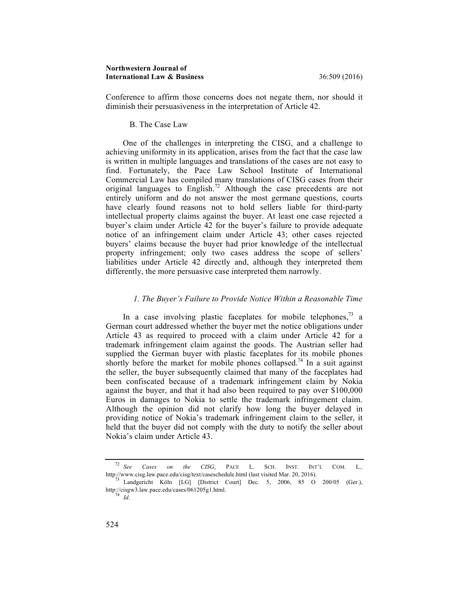Conference to affirm those concerns does not negate them, nor should it diminish their persuasiveness in the interpretation of Article 42.

#### B. The Case Law

One of the challenges in interpreting the CISG, and a challenge to achieving uniformity in its application, arises from the fact that the case law is written in multiple languages and translations of the cases are not easy to find. Fortunately, the Pace Law School Institute of International Commercial Law has compiled many translations of CISG cases from their original languages to English.<sup>72</sup> Although the case precedents are not entirely uniform and do not answer the most germane questions, courts have clearly found reasons not to hold sellers liable for third-party intellectual property claims against the buyer. At least one case rejected a buyer's claim under Article 42 for the buyer's failure to provide adequate notice of an infringement claim under Article 43; other cases rejected buyers' claims because the buyer had prior knowledge of the intellectual property infringement; only two cases address the scope of sellers' liabilities under Article 42 directly and, although they interpreted them differently, the more persuasive case interpreted them narrowly.

## *1. The Buyer's Failure to Provide Notice Within a Reasonable Time*

In a case involving plastic faceplates for mobile telephones.<sup>73</sup> a German court addressed whether the buyer met the notice obligations under Article 43 as required to proceed with a claim under Article 42 for a trademark infringement claim against the goods. The Austrian seller had supplied the German buyer with plastic faceplates for its mobile phones shortly before the market for mobile phones collapsed.<sup>74</sup> In a suit against the seller, the buyer subsequently claimed that many of the faceplates had been confiscated because of a trademark infringement claim by Nokia against the buyer, and that it had also been required to pay over \$100,000 Euros in damages to Nokia to settle the trademark infringement claim. Although the opinion did not clarify how long the buyer delayed in providing notice of Nokia's trademark infringement claim to the seller, it held that the buyer did not comply with the duty to notify the seller about Nokia's claim under Article 43.

<sup>&</sup>lt;sup>72</sup> *See Cases on the CISG*, PACE L. SCH. INST. INT'L COM. L., http://www.cisg.law.pace.edu/cisg/text/caseschedule.html (last visited Mar. 20, 2016).

<sup>&</sup>lt;sup>3</sup> Landgericht Köln [LG] [District Court] Dec. 5, 2006, 85 O 200/05 (Ger.), http://cisgw3.law.pace.edu/cases/061205g1.html. <sup>74</sup> *Id*.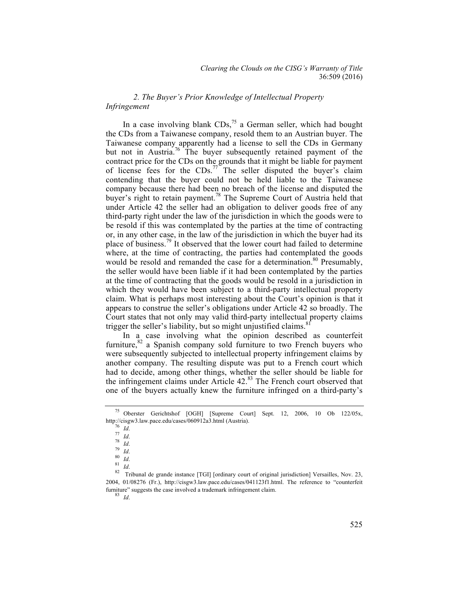## *2. The Buyer's Prior Knowledge of Intellectual Property Infringement*

In a case involving blank CDs,<sup>75</sup> a German seller, which had bought the CDs from a Taiwanese company, resold them to an Austrian buyer. The Taiwanese company apparently had a license to sell the CDs in Germany but not in Austria.<sup>76</sup> The buyer subsequently retained payment of the contract price for the CDs on the grounds that it might be liable for payment of license fees for the  $CDS<sub>1</sub><sup>77</sup>$  The seller disputed the buyer's claim contending that the buyer could not be held liable to the Taiwanese company because there had been no breach of the license and disputed the buyer's right to retain payment.<sup>78</sup> The Supreme Court of Austria held that under Article 42 the seller had an obligation to deliver goods free of any third-party right under the law of the jurisdiction in which the goods were to be resold if this was contemplated by the parties at the time of contracting or, in any other case, in the law of the jurisdiction in which the buyer had its place of business.<sup>79</sup> It observed that the lower court had failed to determine where, at the time of contracting, the parties had contemplated the goods would be resold and remanded the case for a determination.<sup>80</sup> Presumably, the seller would have been liable if it had been contemplated by the parties at the time of contracting that the goods would be resold in a jurisdiction in which they would have been subject to a third-party intellectual property claim. What is perhaps most interesting about the Court's opinion is that it appears to construe the seller's obligations under Article 42 so broadly. The Court states that not only may valid third-party intellectual property claims trigger the seller's liability, but so might unjustified claims. $8$ 

In a case involving what the opinion described as counterfeit furniture, $82$  a Spanish company sold furniture to two French buyers who were subsequently subjected to intellectual property infringement claims by another company. The resulting dispute was put to a French court which had to decide, among other things, whether the seller should be liable for the infringement claims under Article  $42.^{83}$  The French court observed that one of the buyers actually knew the furniture infringed on a third-party's

<sup>75</sup> Oberster Gerichtshof [OGH] [Supreme Court] Sept. 12, 2006, 10 Ob 122/05x, http://cisgw3.law.pace.edu/cases/060912a3.html (Austria).<br>  $\frac{76}{76}$  *Id.*<br>  $\frac{77}{16}$  *Id.*<br>  $\frac{78}{16}$  *Id.*<br>  $\frac{80}{16}$  *Id.*<br>  $\frac{81}{16}$ .<br>  $\frac{79}{16}$  *Id.*<br>  $\frac{81}{16}$ .<br>  $\frac{79}{16}$  *Id.*<br>  $\frac{81}{16}$ .<br>  $\frac{79$ 

<sup>2004, 01/08276 (</sup>Fr.), http://cisgw3.law.pace.edu/cases/041123f1.html. The reference to "counterfeit furniture" suggests the case involved a trademark infringement claim. <sup>83</sup> *Id*.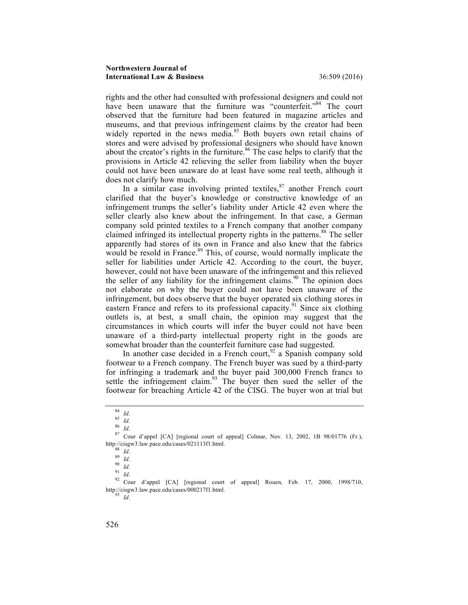rights and the other had consulted with professional designers and could not have been unaware that the furniture was "counterfeit."<sup>84</sup> The court observed that the furniture had been featured in magazine articles and museums, and that previous infringement claims by the creator had been widely reported in the news media.<sup>85</sup> Both buyers own retail chains of stores and were advised by professional designers who should have known about the creator's rights in the furniture. $86$  The case helps to clarify that the provisions in Article 42 relieving the seller from liability when the buyer could not have been unaware do at least have some real teeth, although it does not clarify how much.

In a similar case involving printed textiles,  $87$  another French court clarified that the buyer's knowledge or constructive knowledge of an infringement trumps the seller's liability under Article 42 even where the seller clearly also knew about the infringement. In that case, a German company sold printed textiles to a French company that another company claimed infringed its intellectual property rights in the patterns.<sup>88</sup> The seller apparently had stores of its own in France and also knew that the fabrics would be resold in France.<sup>89</sup> This, of course, would normally implicate the seller for liabilities under Article 42. According to the court, the buyer, however, could not have been unaware of the infringement and this relieved the seller of any liability for the infringement claims.<sup>90</sup> The opinion does not elaborate on why the buyer could not have been unaware of the infringement, but does observe that the buyer operated six clothing stores in eastern France and refers to its professional capacity.<sup>91</sup> Since six clothing outlets is, at best, a small chain, the opinion may suggest that the circumstances in which courts will infer the buyer could not have been unaware of a third-party intellectual property right in the goods are somewhat broader than the counterfeit furniture case had suggested.

In another case decided in a French court,  $92$  a Spanish company sold footwear to a French company. The French buyer was sued by a third-party for infringing a trademark and the buyer paid 300,000 French francs to settle the infringement claim.<sup>93</sup> The buyer then sued the seller of the footwear for breaching Article 42 of the CISG. The buyer won at trial but

<sup>84</sup> *Id.*<br>
85 *Id.*<br>
86 *Id.*<br>
87 Cour d'appel [CA] [regional court of appeal] Colmar, Nov. 13, 2002, 1B 98/01776 (Fr.),<br>
http://cisgw3.law.pace.edu/cases/021113f1.html.

http://cisgw3.law.pace.edu/cases/021113f1.html. <sup>88</sup> *Id*. <sup>89</sup> *Id*. <sup>90</sup> *Id*. <sup>91</sup> *Id*. <sup>92</sup> Cour d'appel [CA] [regional court of appeal] Rouen, Feb. 17, 2000, 1998/710, http://cisgw3.law.pace.edu/cases/000217f1.html. <sup>93</sup> *Id*.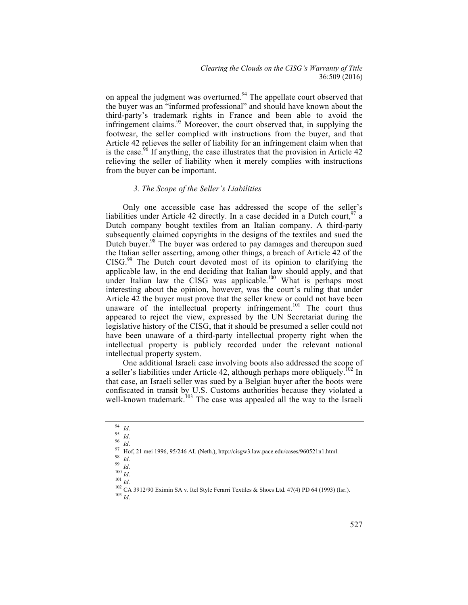#### *Clearing the Clouds on the CISG's Warranty of Title* 36:509 (2016)

on appeal the judgment was overturned.<sup>94</sup> The appellate court observed that the buyer was an "informed professional" and should have known about the third-party's trademark rights in France and been able to avoid the infringement claims.<sup>95</sup> Moreover, the court observed that, in supplying the footwear, the seller complied with instructions from the buyer, and that Article 42 relieves the seller of liability for an infringement claim when that is the case.<sup>96</sup> If anything, the case illustrates that the provision in Article  $42$ relieving the seller of liability when it merely complies with instructions from the buyer can be important.

## *3. The Scope of the Seller's Liabilities*

Only one accessible case has addressed the scope of the seller's liabilities under Article 42 directly. In a case decided in a Dutch court.  $97$  a Dutch company bought textiles from an Italian company. A third-party subsequently claimed copyrights in the designs of the textiles and sued the Dutch buyer.<sup>98</sup> The buyer was ordered to pay damages and thereupon sued the Italian seller asserting, among other things, a breach of Article 42 of the CISG.<sup>99</sup> The Dutch court devoted most of its opinion to clarifying the applicable law, in the end deciding that Italian law should apply, and that under Italian law the CISG was applicable.<sup>100</sup> What is perhaps most interesting about the opinion, however, was the court's ruling that under Article 42 the buyer must prove that the seller knew or could not have been unaware of the intellectual property infringement.<sup>101</sup> The court thus appeared to reject the view, expressed by the UN Secretariat during the legislative history of the CISG, that it should be presumed a seller could not have been unaware of a third-party intellectual property right when the intellectual property is publicly recorded under the relevant national intellectual property system.

One additional Israeli case involving boots also addressed the scope of a seller's liabilities under Article 42, although perhaps more obliquely.<sup>102</sup> In that case, an Israeli seller was sued by a Belgian buyer after the boots were confiscated in transit by U.S. Customs authorities because they violated a well-known trademark.<sup>103</sup> The case was appealed all the way to the Israeli

<sup>&</sup>lt;sup>94</sup> *Id.*<br>
95 *Id.*<br>
96 *Id.*<br>
97 Hof, 21 mei 1996, 95/246 AL (Neth.), http://cisgw3.law.pace.edu/cases/960521n1.html.<br>
98 *Id.*<br>
99 *Id.*<br>
99 *Id.*<br>
100 *Id.*<br>
101 *Id.*<br>
102 CA 3912/90 Eximin SA v. Itel Style Ferarri T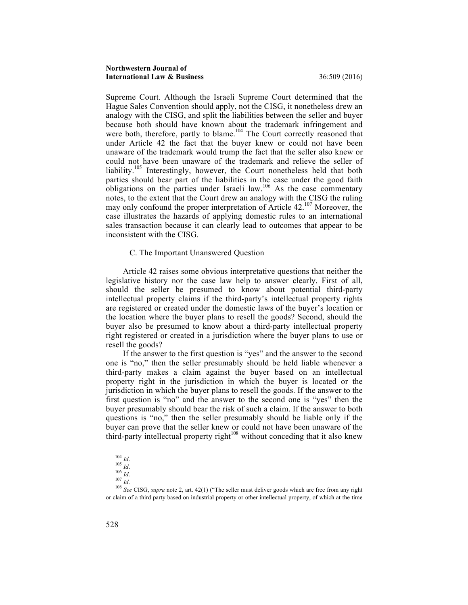Supreme Court. Although the Israeli Supreme Court determined that the Hague Sales Convention should apply, not the CISG, it nonetheless drew an analogy with the CISG, and split the liabilities between the seller and buyer because both should have known about the trademark infringement and were both, therefore, partly to blame.<sup>104</sup> The Court correctly reasoned that under Article 42 the fact that the buyer knew or could not have been unaware of the trademark would trump the fact that the seller also knew or could not have been unaware of the trademark and relieve the seller of liability.<sup>105</sup> Interestingly, however, the Court nonetheless held that both parties should bear part of the liabilities in the case under the good faith obligations on the parties under Israeli law.<sup>106</sup> As the case commentary notes, to the extent that the Court drew an analogy with the CISG the ruling may only confound the proper interpretation of Article 42.<sup>107</sup> Moreover, the case illustrates the hazards of applying domestic rules to an international sales transaction because it can clearly lead to outcomes that appear to be inconsistent with the CISG.

## C. The Important Unanswered Question

Article 42 raises some obvious interpretative questions that neither the legislative history nor the case law help to answer clearly. First of all, should the seller be presumed to know about potential third-party intellectual property claims if the third-party's intellectual property rights are registered or created under the domestic laws of the buyer's location or the location where the buyer plans to resell the goods? Second, should the buyer also be presumed to know about a third-party intellectual property right registered or created in a jurisdiction where the buyer plans to use or resell the goods?

If the answer to the first question is "yes" and the answer to the second one is "no," then the seller presumably should be held liable whenever a third-party makes a claim against the buyer based on an intellectual property right in the jurisdiction in which the buyer is located or the jurisdiction in which the buyer plans to resell the goods. If the answer to the first question is "no" and the answer to the second one is "yes" then the buyer presumably should bear the risk of such a claim. If the answer to both questions is "no," then the seller presumably should be liable only if the buyer can prove that the seller knew or could not have been unaware of the third-party intellectual property right<sup>108</sup> without conceding that it also knew

<sup>104</sup> *Id.*<br>
<sup>105</sup> *Id.*<br>
<sup>106</sup> *Id.*<br>
<sup>107</sup> *Id.*<br>
<sup>108</sup> *See* CISG, *supra* note 2, art. 42(1) ("The seller must deliver goods which are free from any right or claim of a third party based on industrial property or other intellectual property, of which at the time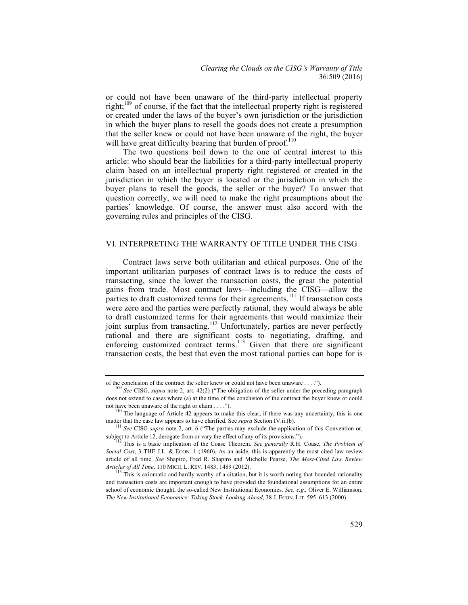or could not have been unaware of the third-party intellectual property right;<sup>109</sup> of course, if the fact that the intellectual property right is registered or created under the laws of the buyer's own jurisdiction or the jurisdiction in which the buyer plans to resell the goods does not create a presumption that the seller knew or could not have been unaware of the right, the buyer will have great difficulty bearing that burden of proof.<sup>110</sup>

The two questions boil down to the one of central interest to this article: who should bear the liabilities for a third-party intellectual property claim based on an intellectual property right registered or created in the jurisdiction in which the buyer is located or the jurisdiction in which the buyer plans to resell the goods, the seller or the buyer? To answer that question correctly, we will need to make the right presumptions about the parties' knowledge. Of course, the answer must also accord with the governing rules and principles of the CISG.

## VI. INTERPRETING THE WARRANTY OF TITLE UNDER THE CISG

Contract laws serve both utilitarian and ethical purposes. One of the important utilitarian purposes of contract laws is to reduce the costs of transacting, since the lower the transaction costs, the great the potential gains from trade. Most contract laws—including the CISG—allow the parties to draft customized terms for their agreements.<sup>111</sup> If transaction costs were zero and the parties were perfectly rational, they would always be able to draft customized terms for their agreements that would maximize their joint surplus from transacting.<sup>112</sup> Unfortunately, parties are never perfectly rational and there are significant costs to negotiating, drafting, and enforcing customized contract terms.<sup>113</sup> Given that there are significant transaction costs, the best that even the most rational parties can hope for is

of the conclusion of the contract the seller knew or could not have been unaware . . . ."). <sup>109</sup> *See* CISG, *supra* note 2, art. 42(2) ("The obligation of the seller under the preceding paragraph does not extend to cases where (a) at the time of the conclusion of the contract the buyer knew or could not have been unaware of the right or claim  $\dots$ .").<br><sup>110</sup> The language of Article 42 appears to make this clear; if there was any uncertainty, this is one

matter that the case law appears to have clarified. See *supra* Section IV.ii.(b). <sup>111</sup> *See* CISG *supra* note 2, art. 6 ("The parties may exclude the application of this Convention or,

subject to Article 12, derogate from or vary the effect of any of its provisions.").<br><sup>112</sup> This is a basic implication of the Coase Theorem. *See generally* R.H. Coase, *The Problem of* 

*Social Cost*, 3 THE J.L. & ECON. 1 (1960). As an aside, this is apparently the most cited law review article of all time. *See* Shapiro, Fred R. Shapiro and Michelle Pearse, *The Most-Cited Law Review* 

<sup>&</sup>lt;sup>113</sup> This is axiomatic and hardly worthy of a citation, but it is worth noting that bounded rationality and transaction costs are important enough to have provided the foundational assumptions for an entire school of economic thought, the so-called New Institutional Economics. *See, e.g.,* Oliver E. Williamson, *The New Institutional Economics: Taking Stock, Looking Ahead*, 38 J. ECON. LIT. 595–613 (2000).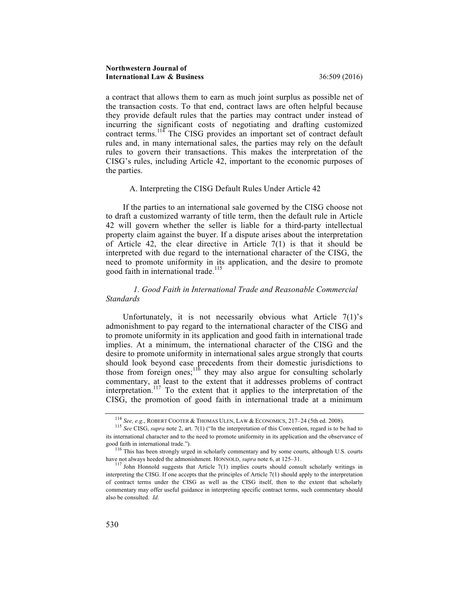a contract that allows them to earn as much joint surplus as possible net of the transaction costs. To that end, contract laws are often helpful because they provide default rules that the parties may contract under instead of incurring the significant costs of negotiating and drafting customized contract terms.<sup>114</sup> The CISG provides an important set of contract default rules and, in many international sales, the parties may rely on the default rules to govern their transactions. This makes the interpretation of the CISG's rules, including Article 42, important to the economic purposes of the parties.

#### A. Interpreting the CISG Default Rules Under Article 42

If the parties to an international sale governed by the CISG choose not to draft a customized warranty of title term, then the default rule in Article 42 will govern whether the seller is liable for a third-party intellectual property claim against the buyer. If a dispute arises about the interpretation of Article 42, the clear directive in Article 7(1) is that it should be interpreted with due regard to the international character of the CISG, the need to promote uniformity in its application, and the desire to promote good faith in international trade.<sup>115</sup>

## *1. Good Faith in International Trade and Reasonable Commercial Standards*

Unfortunately, it is not necessarily obvious what Article 7(1)'s admonishment to pay regard to the international character of the CISG and to promote uniformity in its application and good faith in international trade implies. At a minimum, the international character of the CISG and the desire to promote uniformity in international sales argue strongly that courts should look beyond case precedents from their domestic jurisdictions to those from foreign ones;<sup>116</sup> they may also argue for consulting scholarly commentary, at least to the extent that it addresses problems of contract interpretation.<sup>117</sup> To the extent that it applies to the interpretation of the CISG, the promotion of good faith in international trade at a minimum

<sup>114</sup> *See, e.g*., ROBERT COOTER & THOMAS ULEN, LAW & ECONOMICS, 217–24 (5th ed. 2008). <sup>115</sup> *See* CISG, *supra* note 2, art. 7(1) ("In the interpretation of this Convention, regard is to be had to its international character and to the need to promote uniformity in its application and the observance of

good faith in international trade."). <sup>116</sup> This has been strongly urged in scholarly commentary and by some courts, although U.S. courts have not always heeded the admonishment. HONNOLD, *supra* note 6, at 125–31.<br><sup>117</sup> John Honnold suggests that Article 7(1) implies courts should consult scholarly writings in

interpreting the CISG. If one accepts that the principles of Article 7(1) should apply to the interpretation of contract terms under the CISG as well as the CISG itself, then to the extent that scholarly commentary may offer useful guidance in interpreting specific contract terms, such commentary should also be consulted. *Id*.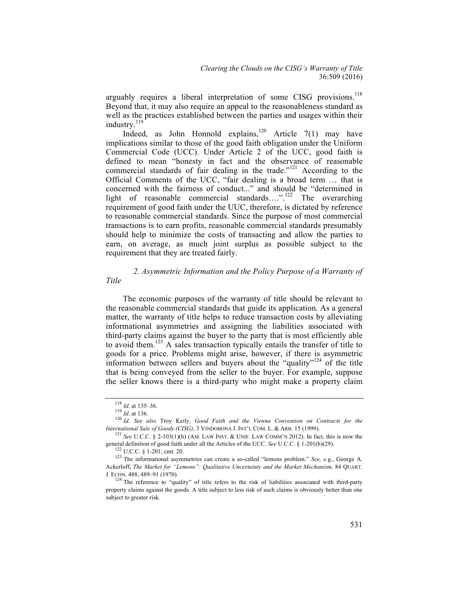arguably requires a liberal interpretation of some CISG provisions.<sup>118</sup> Beyond that, it may also require an appeal to the reasonableness standard as well as the practices established between the parties and usages within their industry.<sup>119</sup>

Indeed, as John Honnold explains,<sup>120</sup> Article 7(1) may have implications similar to those of the good faith obligation under the Uniform Commercial Code (UCC). Under Article 2 of the UCC, good faith is defined to mean "honesty in fact and the observance of reasonable commercial standards of fair dealing in the trade."<sup>121</sup> According to the Official Comments of the UCC, "fair dealing is a broad term … that is concerned with the fairness of conduct..." and should be "determined in light of reasonable commercial standards….".<sup>122</sup> The overarching requirement of good faith under the UUC, therefore, is dictated by reference to reasonable commercial standards. Since the purpose of most commercial transactions is to earn profits, reasonable commercial standards presumably should help to minimize the costs of transacting and allow the parties to earn, on average, as much joint surplus as possible subject to the requirement that they are treated fairly.

# *2. Asymmetric Information and the Policy Purpose of a Warranty of*

The economic purposes of the warranty of title should be relevant to the reasonable commercial standards that guide its application. As a general matter, the warranty of title helps to reduce transaction costs by alleviating informational asymmetries and assigning the liabilities associated with third-party claims against the buyer to the party that is most efficiently able to avoid them.<sup>123</sup> A sales transaction typically entails the transfer of title to goods for a price. Problems might arise, however, if there is asymmetric information between sellers and buyers about the "quality"<sup>124</sup> of the title that is being conveyed from the seller to the buyer. For example, suppose the seller knows there is a third-party who might make a property claim

*Title*

<sup>118</sup> *Id.* at 135–36.<br><sup>119</sup> *Id.* at 136.<br><sup>120</sup> *Id. See also* Troy Keily, *Good Faith and the Vienna Convention on Contracts for the*<br>*International Sale of Goods (CISG)*, 3 VINDOBONA J. INT'L COM. L. & ARB. 15 (1999).

<sup>&</sup>lt;sup>121</sup> See U.C.C. § 2-103(1)(b) (AM. LAW INST. & UNIF. LAW COMM'N 2012). In fact, this is now the general definition of good faith under all the Articles of the UCC. See U.C.C. § 1-201(b)(29).

<sup>&</sup>lt;sup>122</sup> U.C.C. § 1-201, cmt. 20.<br><sup>123</sup> The informational asymmetries can create a so-called "lemons problem." *See, e.g.*, George A. Ackerloff, *The Market for "Lemons": Qualitative Uncertainty and the Market Mechanism,* 84 QUART. J. ECON. 488, 489–91 (1970).<br><sup>124</sup> The reference to "quality" of title refers to the risk of liabilities associated with third-party

property claims against the goods. A title subject to less risk of such claims is obviously better than one subject to greater risk.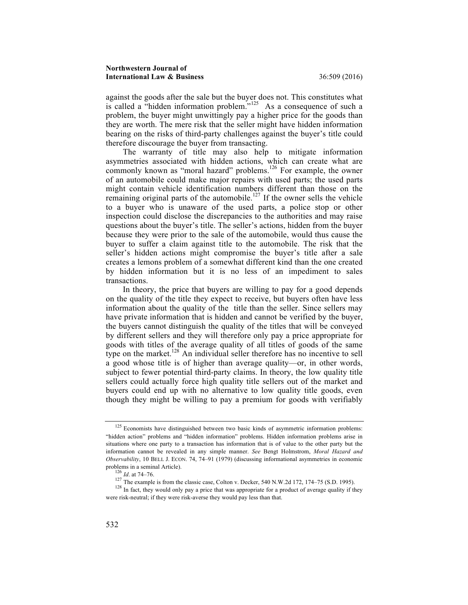against the goods after the sale but the buyer does not. This constitutes what is called a "hidden information problem."<sup>125</sup> As a consequence of such a problem, the buyer might unwittingly pay a higher price for the goods than they are worth. The mere risk that the seller might have hidden information bearing on the risks of third-party challenges against the buyer's title could therefore discourage the buyer from transacting.

The warranty of title may also help to mitigate information asymmetries associated with hidden actions, which can create what are commonly known as "moral hazard" problems.<sup>126</sup> For example, the owner of an automobile could make major repairs with used parts; the used parts might contain vehicle identification numbers different than those on the remaining original parts of the automobile.<sup>127</sup> If the owner sells the vehicle to a buyer who is unaware of the used parts, a police stop or other inspection could disclose the discrepancies to the authorities and may raise questions about the buyer's title. The seller's actions, hidden from the buyer because they were prior to the sale of the automobile, would thus cause the buyer to suffer a claim against title to the automobile. The risk that the seller's hidden actions might compromise the buyer's title after a sale creates a lemons problem of a somewhat different kind than the one created by hidden information but it is no less of an impediment to sales transactions.

In theory, the price that buyers are willing to pay for a good depends on the quality of the title they expect to receive, but buyers often have less information about the quality of the title than the seller. Since sellers may have private information that is hidden and cannot be verified by the buyer, the buyers cannot distinguish the quality of the titles that will be conveyed by different sellers and they will therefore only pay a price appropriate for goods with titles of the average quality of all titles of goods of the same type on the market.<sup>128</sup> An individual seller therefore has no incentive to sell a good whose title is of higher than average quality—or, in other words, subject to fewer potential third-party claims. In theory, the low quality title sellers could actually force high quality title sellers out of the market and buyers could end up with no alternative to low quality title goods, even though they might be willing to pay a premium for goods with verifiably

 $125$  Economists have distinguished between two basic kinds of asymmetric information problems: "hidden action" problems and "hidden information" problems. Hidden information problems arise in situations where one party to a transaction has information that is of value to the other party but the information cannot be revealed in any simple manner. *See* Bengt Holmstrom, *Moral Hazard and Observability*, 10 BELL J. ECON. 74, 74–91 (1979) (discussing informational asymmetries in economic problems in a seminal Article).

<sup>&</sup>lt;sup>126</sup> *Id.* at 74–76.<br><sup>127</sup> The example is from the classic case, Colton v. Decker, 540 N.W.2d 172, 174–75 (S.D. 1995).<br><sup>127</sup> In fact, they would only pay a price that was appropriate for a product of average quality if t were risk-neutral; if they were risk-averse they would pay less than that.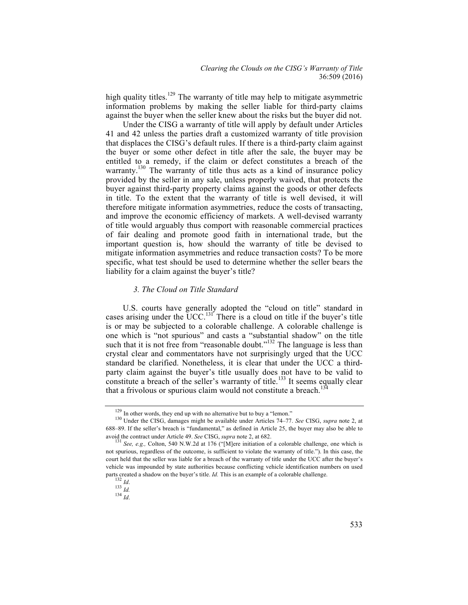high quality titles.<sup>129</sup> The warranty of title may help to mitigate asymmetric information problems by making the seller liable for third-party claims against the buyer when the seller knew about the risks but the buyer did not.

Under the CISG a warranty of title will apply by default under Articles 41 and 42 unless the parties draft a customized warranty of title provision that displaces the CISG's default rules. If there is a third-party claim against the buyer or some other defect in title after the sale, the buyer may be entitled to a remedy, if the claim or defect constitutes a breach of the warranty.<sup>130</sup> The warranty of title thus acts as a kind of insurance policy provided by the seller in any sale, unless properly waived, that protects the buyer against third-party property claims against the goods or other defects in title. To the extent that the warranty of title is well devised, it will therefore mitigate information asymmetries, reduce the costs of transacting, and improve the economic efficiency of markets. A well-devised warranty of title would arguably thus comport with reasonable commercial practices of fair dealing and promote good faith in international trade, but the important question is, how should the warranty of title be devised to mitigate information asymmetries and reduce transaction costs? To be more specific, what test should be used to determine whether the seller bears the liability for a claim against the buyer's title?

### *3. The Cloud on Title Standard*

U.S. courts have generally adopted the "cloud on title" standard in cases arising under the UCC.<sup>131</sup> There is a cloud on title if the buyer's title is or may be subjected to a colorable challenge. A colorable challenge is one which is "not spurious" and casts a "substantial shadow" on the title such that it is not free from "reasonable doubt."<sup>132</sup> The language is less than crystal clear and commentators have not surprisingly urged that the UCC standard be clarified. Nonetheless, it is clear that under the UCC a thirdparty claim against the buyer's title usually does not have to be valid to constitute a breach of the seller's warranty of title.<sup>133</sup> It seems equally clear that a frivolous or spurious claim would not constitute a breach.<sup>13</sup>

<sup>&</sup>lt;sup>129</sup> In other words, they end up with no alternative but to buy a "lemon."<br><sup>130</sup> Under the CISG, damages might be available under Articles 74–77. *See* CISG, *supra* note 2, at 688–89. If the seller's breach is "fundamental," as defined in Article 25, the buyer may also be able to avoid the contract under Article 49. *See* CISG, *supra* note 2, at 682.<br><sup>131</sup> *See, e.g.*, Colton, 540 N.W.2d at 176 ("[M]ere initiation of a colorable challenge, one which is

not spurious, regardless of the outcome, is sufficient to violate the warranty of title."). In this case, the court held that the seller was liable for a breach of the warranty of title under the UCC after the buyer's vehicle was impounded by state authorities because conflicting vehicle identification numbers on used parts created a shadow on the buyer's title. *Id*. This is an example of a colorable challenge.  $\frac{132 \text{ } Id.}{133 \text{ } Id.}$ <br>133 *Id.* 134 *Id.*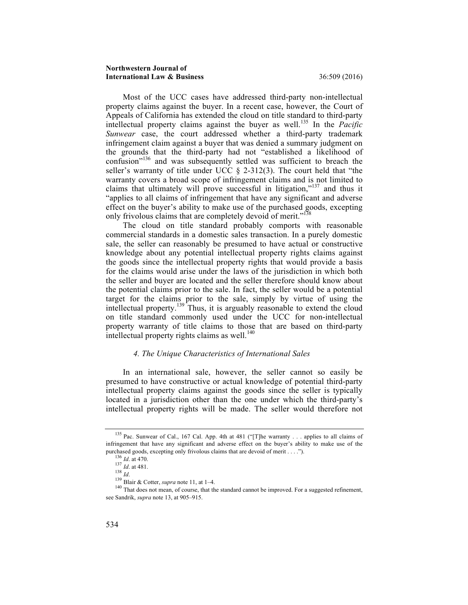Most of the UCC cases have addressed third-party non-intellectual property claims against the buyer. In a recent case, however, the Court of Appeals of California has extended the cloud on title standard to third-party intellectual property claims against the buyer as well.<sup>135</sup> In the *Pacific Sunwear* case, the court addressed whether a third-party trademark infringement claim against a buyer that was denied a summary judgment on the grounds that the third-party had not "established a likelihood of confusion"<sup>136</sup> and was subsequently settled was sufficient to breach the seller's warranty of title under UCC § 2-312(3). The court held that "the warranty covers a broad scope of infringement claims and is not limited to claims that ultimately will prove successful in litigation," $137$  and thus it "applies to all claims of infringement that have any significant and adverse effect on the buyer's ability to make use of the purchased goods, excepting only frivolous claims that are completely devoid of merit."<sup>138</sup>

The cloud on title standard probably comports with reasonable commercial standards in a domestic sales transaction. In a purely domestic sale, the seller can reasonably be presumed to have actual or constructive knowledge about any potential intellectual property rights claims against the goods since the intellectual property rights that would provide a basis for the claims would arise under the laws of the jurisdiction in which both the seller and buyer are located and the seller therefore should know about the potential claims prior to the sale. In fact, the seller would be a potential target for the claims prior to the sale, simply by virtue of using the intellectual property.<sup>139</sup> Thus, it is arguably reasonable to extend the cloud on title standard commonly used under the UCC for non-intellectual property warranty of title claims to those that are based on third-party intellectual property rights claims as well. $140$ 

## *4. The Unique Characteristics of International Sales*

In an international sale, however, the seller cannot so easily be presumed to have constructive or actual knowledge of potential third-party intellectual property claims against the goods since the seller is typically located in a jurisdiction other than the one under which the third-party's intellectual property rights will be made. The seller would therefore not

<sup>&</sup>lt;sup>135</sup> Pac. Sunwear of Cal., 167 Cal. App. 4th at 481 ("[T]he warranty . . . applies to all claims of infringement that have any significant and adverse effect on the buyer's ability to make use of the

purchased goods, excepting only frivolous claims that are devoid of merit . . . .").<br>
<sup>136</sup> *Id.* at 470.<br>
<sup>137</sup> *Id.* at 481.<br>
<sup>138</sup> Blair & Cotter, *supra* note 11, at 1–4.<br>
<sup>140</sup> That does not mean, of course, that the see Sandrik, *supra* note 13, at 905–915.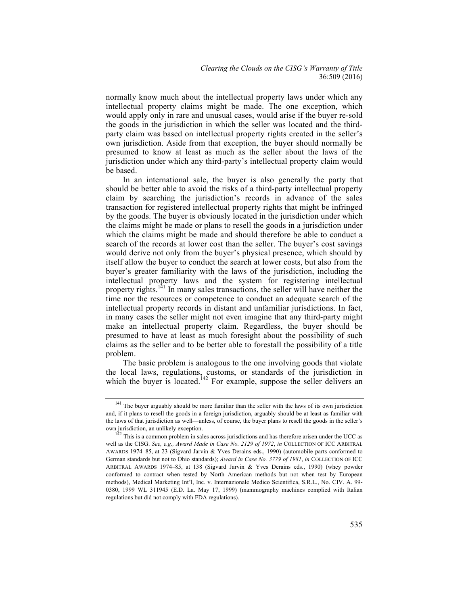normally know much about the intellectual property laws under which any intellectual property claims might be made. The one exception, which would apply only in rare and unusual cases, would arise if the buyer re-sold the goods in the jurisdiction in which the seller was located and the thirdparty claim was based on intellectual property rights created in the seller's own jurisdiction. Aside from that exception, the buyer should normally be presumed to know at least as much as the seller about the laws of the jurisdiction under which any third-party's intellectual property claim would be based.

In an international sale, the buyer is also generally the party that should be better able to avoid the risks of a third-party intellectual property claim by searching the jurisdiction's records in advance of the sales transaction for registered intellectual property rights that might be infringed by the goods. The buyer is obviously located in the jurisdiction under which the claims might be made or plans to resell the goods in a jurisdiction under which the claims might be made and should therefore be able to conduct a search of the records at lower cost than the seller. The buyer's cost savings would derive not only from the buyer's physical presence, which should by itself allow the buyer to conduct the search at lower costs, but also from the buyer's greater familiarity with the laws of the jurisdiction, including the intellectual property laws and the system for registering intellectual property rights.<sup>141</sup> In many sales transactions, the seller will have neither the time nor the resources or competence to conduct an adequate search of the intellectual property records in distant and unfamiliar jurisdictions. In fact, in many cases the seller might not even imagine that any third-party might make an intellectual property claim. Regardless, the buyer should be presumed to have at least as much foresight about the possibility of such claims as the seller and to be better able to forestall the possibility of a title problem.

The basic problem is analogous to the one involving goods that violate the local laws, regulations, customs, or standards of the jurisdiction in which the buyer is located.<sup>142</sup> For example, suppose the seller delivers an

<sup>&</sup>lt;sup>141</sup> The buyer arguably should be more familiar than the seller with the laws of its own jurisdiction and, if it plans to resell the goods in a foreign jurisdiction, arguably should be at least as familiar with the laws of that jurisdiction as well—unless, of course, the buyer plans to resell the goods in the seller's own jurisdiction, an unlikely exception.<br><sup>142</sup> This is a common problem in sales across jurisdictions and has therefore arisen under the UCC as

well as the CISG. *See, e.g., Award Made in Case No. 2129 of 1972*, *in* COLLECTION OF ICC ARBITRAL AWARDS 1974–85, at 23 (Sigvard Jarvin & Yves Derains eds., 1990) (automobile parts conformed to German standards but not to Ohio standards); *Award in Case No. 3779 of 1981*, *in* COLLECTION OF ICC ARBITRAL AWARDS 1974–85, at 138 (Sigvard Jarvin & Yves Derains eds., 1990) (whey powder conformed to contract when tested by North American methods but not when test by European methods), Medical Marketing Int'l, Inc. v. Internazionale Medico Scientifica, S.R.L*.*, No. CIV. A. 99- 0380, 1999 WL 311945 (E.D. La. May 17, 1999) (mammography machines complied with Italian regulations but did not comply with FDA regulations).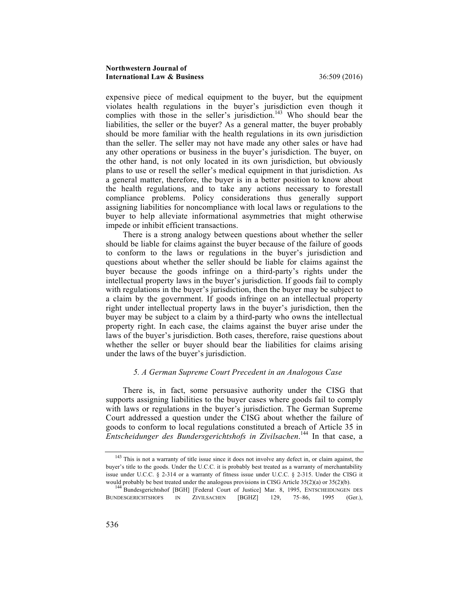expensive piece of medical equipment to the buyer, but the equipment violates health regulations in the buyer's jurisdiction even though it complies with those in the seller's jurisdiction.<sup>143</sup> Who should bear the liabilities, the seller or the buyer? As a general matter, the buyer probably should be more familiar with the health regulations in its own jurisdiction than the seller. The seller may not have made any other sales or have had any other operations or business in the buyer's jurisdiction. The buyer, on the other hand, is not only located in its own jurisdiction, but obviously plans to use or resell the seller's medical equipment in that jurisdiction. As a general matter, therefore, the buyer is in a better position to know about the health regulations, and to take any actions necessary to forestall compliance problems. Policy considerations thus generally support assigning liabilities for noncompliance with local laws or regulations to the buyer to help alleviate informational asymmetries that might otherwise impede or inhibit efficient transactions.

There is a strong analogy between questions about whether the seller should be liable for claims against the buyer because of the failure of goods to conform to the laws or regulations in the buyer's jurisdiction and questions about whether the seller should be liable for claims against the buyer because the goods infringe on a third-party's rights under the intellectual property laws in the buyer's jurisdiction. If goods fail to comply with regulations in the buyer's jurisdiction, then the buyer may be subject to a claim by the government. If goods infringe on an intellectual property right under intellectual property laws in the buyer's jurisdiction, then the buyer may be subject to a claim by a third-party who owns the intellectual property right. In each case, the claims against the buyer arise under the laws of the buyer's jurisdiction. Both cases, therefore, raise questions about whether the seller or buyer should bear the liabilities for claims arising under the laws of the buyer's jurisdiction.

## *5. A German Supreme Court Precedent in an Analogous Case*

There is, in fact, some persuasive authority under the CISG that supports assigning liabilities to the buyer cases where goods fail to comply with laws or regulations in the buyer's jurisdiction. The German Supreme Court addressed a question under the CISG about whether the failure of goods to conform to local regulations constituted a breach of Article 35 in *Entscheidunger des Bundersgerichtshofs in Zivilsachen*. <sup>144</sup> In that case, a

<sup>&</sup>lt;sup>143</sup> This is not a warranty of title issue since it does not involve any defect in, or claim against, the buyer's title to the goods. Under the U.C.C. it is probably best treated as a warranty of merchantability issue under U.C.C. § 2-314 or a warranty of fitness issue under U.C.C. § 2-315. Under the CISG it

would probably be best treated under the analogous provisions in CISG Article 35(2)(a) or 35(2)(b).<br><sup>144</sup> Bundesgerichtshof [BGH] [Federal Court of Justice] Mar. 8, 1995, ENTSCHEIDUNGEN DES BUNDESGERICHTSHOFS IN ZIVILSACHEN [BGHZ] 129, 75–86, 1995 (Ger.),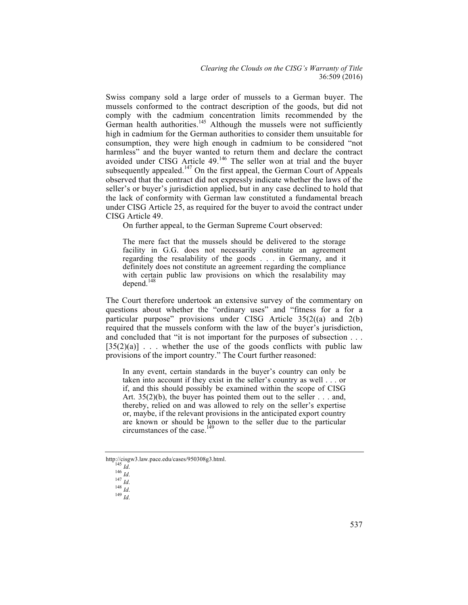Swiss company sold a large order of mussels to a German buyer. The mussels conformed to the contract description of the goods, but did not comply with the cadmium concentration limits recommended by the German health authorities.<sup>145</sup> Although the mussels were not sufficiently high in cadmium for the German authorities to consider them unsuitable for consumption, they were high enough in cadmium to be considered "not harmless" and the buyer wanted to return them and declare the contract avoided under CISG Article 49.<sup>146</sup> The seller won at trial and the buyer subsequently appealed.<sup>147</sup> On the first appeal, the German Court of Appeals observed that the contract did not expressly indicate whether the laws of the seller's or buyer's jurisdiction applied, but in any case declined to hold that the lack of conformity with German law constituted a fundamental breach under CISG Article 25, as required for the buyer to avoid the contract under CISG Article 49.

On further appeal, to the German Supreme Court observed:

The mere fact that the mussels should be delivered to the storage facility in G.G. does not necessarily constitute an agreement regarding the resalability of the goods . . . in Germany, and it definitely does not constitute an agreement regarding the compliance with certain public law provisions on which the resalability may  $depend.$ <sup>1</sup>

The Court therefore undertook an extensive survey of the commentary on questions about whether the "ordinary uses" and "fitness for a for a particular purpose" provisions under CISG Article 35(2((a) and 2(b) required that the mussels conform with the law of the buyer's jurisdiction, and concluded that "it is not important for the purposes of subsection . . .  $[35(2)(a)]$ ... whether the use of the goods conflicts with public law provisions of the import country." The Court further reasoned:

In any event, certain standards in the buyer's country can only be taken into account if they exist in the seller's country as well . . . or if, and this should possibly be examined within the scope of CISG Art.  $35(2)(b)$ , the buyer has pointed them out to the seller ... and, thereby, relied on and was allowed to rely on the seller's expertise or, maybe, if the relevant provisions in the anticipated export country are known or should be known to the seller due to the particular circumstances of the case.<sup>149</sup>

http://cisgw3.law.pace.edu/cases/950308g3.html. <sup>145</sup> *Id*. <sup>146</sup> *Id*. <sup>147</sup> *Id*. <sup>148</sup> *Id*. <sup>149</sup> *Id*.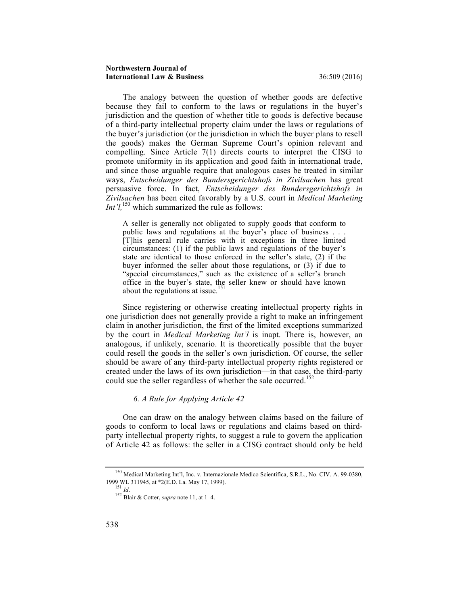The analogy between the question of whether goods are defective because they fail to conform to the laws or regulations in the buyer's jurisdiction and the question of whether title to goods is defective because of a third-party intellectual property claim under the laws or regulations of the buyer's jurisdiction (or the jurisdiction in which the buyer plans to resell the goods) makes the German Supreme Court's opinion relevant and compelling. Since Article 7(1) directs courts to interpret the CISG to promote uniformity in its application and good faith in international trade, and since those arguable require that analogous cases be treated in similar ways, *Entscheidunger des Bundersgerichtshofs in Zivilsachen* has great persuasive force. In fact, *Entscheidunger des Bundersgerichtshofs in Zivilsachen* has been cited favorably by a U.S. court in *Medical Marketing Int'l*,<sup>150</sup> which summarized the rule as follows:

A seller is generally not obligated to supply goods that conform to public laws and regulations at the buyer's place of business . . . [T]his general rule carries with it exceptions in three limited circumstances: (1) if the public laws and regulations of the buyer's state are identical to those enforced in the seller's state, (2) if the buyer informed the seller about those regulations, or (3) if due to "special circumstances," such as the existence of a seller's branch office in the buyer's state, the seller knew or should have known about the regulations at issue.<sup>151</sup>

Since registering or otherwise creating intellectual property rights in one jurisdiction does not generally provide a right to make an infringement claim in another jurisdiction, the first of the limited exceptions summarized by the court in *Medical Marketing Int'l* is inapt. There is, however, an analogous, if unlikely, scenario. It is theoretically possible that the buyer could resell the goods in the seller's own jurisdiction. Of course, the seller should be aware of any third-party intellectual property rights registered or created under the laws of its own jurisdiction—in that case, the third-party could sue the seller regardless of whether the sale occurred.<sup>1</sup>

## *6. A Rule for Applying Article 42*

One can draw on the analogy between claims based on the failure of goods to conform to local laws or regulations and claims based on thirdparty intellectual property rights, to suggest a rule to govern the application of Article 42 as follows: the seller in a CISG contract should only be held

<sup>150</sup> Medical Marketing Int'l, Inc. v. Internazionale Medico Scientifica, S.R.L*.*, No. CIV. A. 99-0380, 1999 WL 311945, at \*2(E.D. La. May 17, 1999). <sup>151</sup> *Id*. <sup>152</sup> Blair & Cotter, *supra* note 11, at 1–4.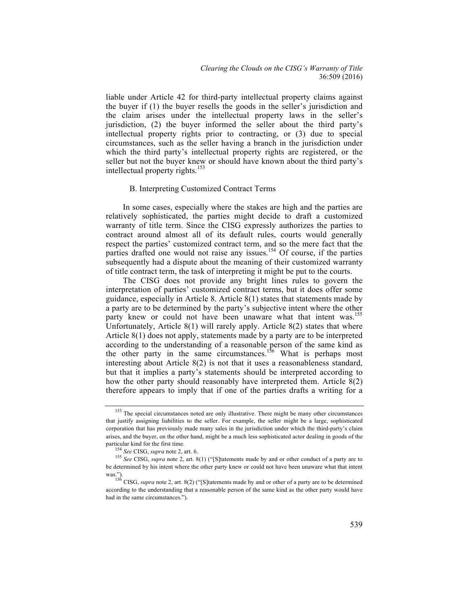liable under Article 42 for third-party intellectual property claims against the buyer if (1) the buyer resells the goods in the seller's jurisdiction and the claim arises under the intellectual property laws in the seller's jurisdiction, (2) the buyer informed the seller about the third party's intellectual property rights prior to contracting, or (3) due to special circumstances, such as the seller having a branch in the jurisdiction under which the third party's intellectual property rights are registered, or the seller but not the buyer knew or should have known about the third party's intellectual property rights.<sup>153</sup>

#### B. Interpreting Customized Contract Terms

In some cases, especially where the stakes are high and the parties are relatively sophisticated, the parties might decide to draft a customized warranty of title term. Since the CISG expressly authorizes the parties to contract around almost all of its default rules, courts would generally respect the parties' customized contract term, and so the mere fact that the parties drafted one would not raise any issues.154 Of course, if the parties subsequently had a dispute about the meaning of their customized warranty of title contract term, the task of interpreting it might be put to the courts.

The CISG does not provide any bright lines rules to govern the interpretation of parties' customized contract terms, but it does offer some guidance, especially in Article 8. Article 8(1) states that statements made by a party are to be determined by the party's subjective intent where the other party knew or could not have been unaware what that intent was.<sup>155</sup> Unfortunately, Article  $8(1)$  will rarely apply. Article  $8(2)$  states that where Article 8(1) does not apply, statements made by a party are to be interpreted according to the understanding of a reasonable person of the same kind as the other party in the same circumstances.<sup>156</sup> What is perhaps most interesting about Article 8(2) is not that it uses a reasonableness standard, but that it implies a party's statements should be interpreted according to how the other party should reasonably have interpreted them. Article 8(2) therefore appears to imply that if one of the parties drafts a writing for a

<sup>&</sup>lt;sup>153</sup> The special circumstances noted are only illustrative. There might be many other circumstances that justify assigning liabilities to the seller. For example, the seller might be a large, sophisticated corporation that has previously made many sales in the jurisdiction under which the third-party's claim arises, and the buyer, on the other hand, might be a much less sophisticated actor dealing in goods of the

particular kind for the first time.<br>
<sup>154</sup> *See* CISG, *supra* note 2, art. 6. <sup>155</sup> *See* CISG, *supra* note 2, art. 8(1) ("[S]tatements made by and or other conduct of a party are to be determined by his intent where the other party knew or could not have been unaware what that intent

was.").<br><sup>156</sup> CISG, *supra* note 2, art. 8(2) ("[S]tatements made by and or other of a party are to be determined<br>in the other party would have according to the understanding that a reasonable person of the same kind as the other party would have had in the same circumstances.").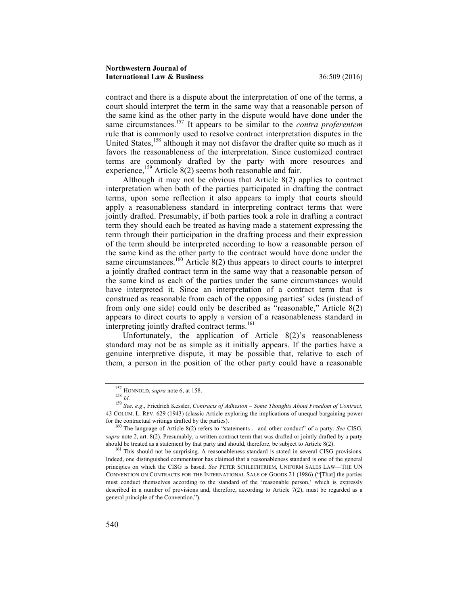contract and there is a dispute about the interpretation of one of the terms, a court should interpret the term in the same way that a reasonable person of the same kind as the other party in the dispute would have done under the same circumstances.157 It appears to be similar to the *contra proferentem* rule that is commonly used to resolve contract interpretation disputes in the United States,<sup>158</sup> although it may not disfavor the drafter quite so much as it favors the reasonableness of the interpretation. Since customized contract terms are commonly drafted by the party with more resources and experience,<sup>159</sup> Article  $8(2)$  seems both reasonable and fair.

Although it may not be obvious that Article 8(2) applies to contract interpretation when both of the parties participated in drafting the contract terms, upon some reflection it also appears to imply that courts should apply a reasonableness standard in interpreting contract terms that were jointly drafted. Presumably, if both parties took a role in drafting a contract term they should each be treated as having made a statement expressing the term through their participation in the drafting process and their expression of the term should be interpreted according to how a reasonable person of the same kind as the other party to the contract would have done under the same circumstances.<sup>160</sup> Article 8(2) thus appears to direct courts to interpret a jointly drafted contract term in the same way that a reasonable person of the same kind as each of the parties under the same circumstances would have interpreted it. Since an interpretation of a contract term that is construed as reasonable from each of the opposing parties' sides (instead of from only one side) could only be described as "reasonable," Article 8(2) appears to direct courts to apply a version of a reasonableness standard in interpreting jointly drafted contract terms.<sup>161</sup>

Unfortunately, the application of Article 8(2)'s reasonableness standard may not be as simple as it initially appears. If the parties have a genuine interpretive dispute, it may be possible that, relative to each of them, a person in the position of the other party could have a reasonable

<sup>157</sup> HONNOLD, *supra* note 6, at 158. <sup>158</sup> *Id*. <sup>159</sup> *See, e.g*., Friedrich Kessler, *Contracts of Adhesion – Some Thoughts About Freedom of Contract,*  43 COLUM. L. REV. 629 (1943) (classic Article exploring the implications of unequal bargaining power

<sup>&</sup>lt;sup>160</sup> The language of Article 8(2) refers to "statements . and other conduct" of a party. *See* CISG, *supra* note 2, art. 8(2). Presumably, a written contract term that was drafted or jointly drafted by a party should be treated as a statement by that party and should, therefore, be subject to Article 8(2).<br><sup>161</sup> This should not be surprising. A reasonableness standard is stated in several CISG provisions.

Indeed, one distinguished commentator has claimed that a reasonableness standard is one of the general principles on which the CISG is based. *See* PETER SCHLECHTRIEM, UNIFORM SALES LAW—THE UN CONVENTION ON CONTRACTS FOR THE INTERNATIONAL SALE OF GOODS 21 (1986) ("[That] the parties must conduct themselves according to the standard of the 'reasonable person,' which is expressly described in a number of provisions and, therefore, according to Article  $7(2)$ , must be regarded as a general principle of the Convention.").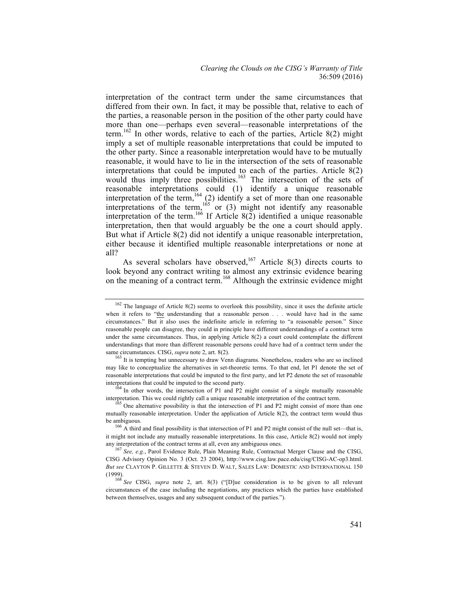interpretation of the contract term under the same circumstances that differed from their own. In fact, it may be possible that, relative to each of the parties, a reasonable person in the position of the other party could have more than one—perhaps even several—reasonable interpretations of the term.<sup>162</sup> In other words, relative to each of the parties, Article 8(2) might imply a set of multiple reasonable interpretations that could be imputed to the other party. Since a reasonable interpretation would have to be mutually reasonable, it would have to lie in the intersection of the sets of reasonable interpretations that could be imputed to each of the parties. Article 8(2) would thus imply three possibilities.<sup>163</sup> The intersection of the sets of reasonable interpretations could (1) identify a unique reasonable interpretation of the term,<sup>164</sup> (2) identify a set of more than one reasonable interpretations of the term,<sup>165</sup> or (3) might not identify any reasonable interpretation of the term.<sup>166</sup> If Article 8(2) identified a unique reasonable interpretation, then that would arguably be the one a court should apply. But what if Article 8(2) did not identify a unique reasonable interpretation, either because it identified multiple reasonable interpretations or none at all?

As several scholars have observed,<sup>167</sup> Article 8(3) directs courts to look beyond any contract writing to almost any extrinsic evidence bearing on the meaning of a contract term.<sup>168</sup> Although the extrinsic evidence might

<sup>&</sup>lt;sup>162</sup> The language of Article 8(2) seems to overlook this possibility, since it uses the definite article when it refers to "the understanding that a reasonable person . . . would have had in the same circumstances." But it also uses the indefinite article in referring to "a reasonable person." Since reasonable people can disagree, they could in principle have different understandings of a contract term under the same circumstances. Thus, in applying Article 8(2) a court could contemplate the different understandings that more than different reasonable persons could have had of a contract term under the same circumstances. CISG, *supra* note 2, art. 8(2). <sup>1</sup><br><sup>163</sup> It is tempting but unnecessary to draw Venn diagrams. Nonetheless, readers who are so inclined

may like to conceptualize the alternatives in set-theoretic terms. To that end, let P1 denote the set of reasonable interpretations that could be imputed to the first party, and let P2 denote the set of reasonable interpretations that could be imputed to the second party. <sup>164</sup> In other words, the intersection of P1 and P2 might consist of a single mutually reasonable

interpretation. This we could rightly call a unique reasonable interpretation of the contract term.<br><sup>165</sup> One alternative possibility is that the intersection of P1 and P2 might consist of more than one

mutually reasonable interpretation. Under the application of Article 8(2), the contract term would thus be ambiguous.<br><sup>166</sup> A third and final possibility is that intersection of P1 and P2 might consist of the null set—that is,

it might not include any mutually reasonable interpretations. In this case, Article 8(2) would not imply any interpretation of the contract terms at all, even any ambiguous ones. <sup>167</sup> *See, e.g.*, Parol Evidence Rule, Plain Meaning Rule, Contractual Merger Clause and the CISG,

CISG Advisory Opinion No. 3 (Oct. 23 2004), http://www.cisg.law.pace.edu/cisg/CISG-AC-op3.html. *But see* CLAYTON P. GILLETTE & STEVEN D. WALT, SALES LAW: DOMESTIC AND INTERNATIONAL 150

<sup>&</sup>lt;sup>168</sup> See CISG, *supra* note 2, art. 8(3) ("[D]ue consideration is to be given to all relevant circumstances of the case including the negotiations, any practices which the parties have established between themselves, usages and any subsequent conduct of the parties.").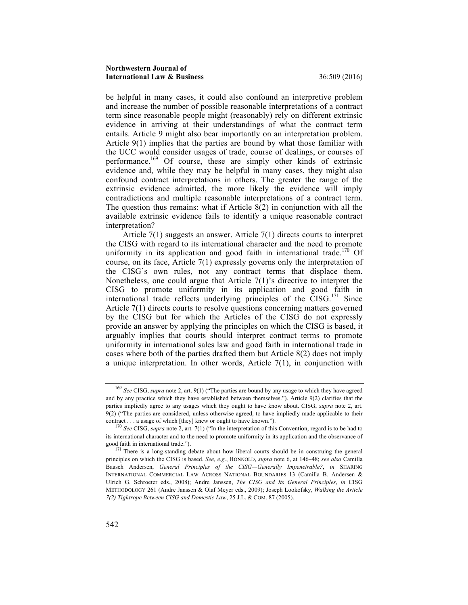be helpful in many cases, it could also confound an interpretive problem and increase the number of possible reasonable interpretations of a contract term since reasonable people might (reasonably) rely on different extrinsic evidence in arriving at their understandings of what the contract term entails. Article 9 might also bear importantly on an interpretation problem. Article 9(1) implies that the parties are bound by what those familiar with the UCC would consider usages of trade, course of dealings, or courses of performance.<sup>169</sup> Of course, these are simply other kinds of extrinsic evidence and, while they may be helpful in many cases, they might also confound contract interpretations in others. The greater the range of the extrinsic evidence admitted, the more likely the evidence will imply contradictions and multiple reasonable interpretations of a contract term. The question thus remains: what if Article 8(2) in conjunction with all the available extrinsic evidence fails to identify a unique reasonable contract interpretation?

Article 7(1) suggests an answer. Article 7(1) directs courts to interpret the CISG with regard to its international character and the need to promote uniformity in its application and good faith in international trade.<sup>170</sup> Of course, on its face, Article 7(1) expressly governs only the interpretation of the CISG's own rules, not any contract terms that displace them. Nonetheless, one could argue that Article 7(1)'s directive to interpret the CISG to promote uniformity in its application and good faith in international trade reflects underlying principles of the  $\text{CISG}.^{171}$  Since Article 7(1) directs courts to resolve questions concerning matters governed by the CISG but for which the Articles of the CISG do not expressly provide an answer by applying the principles on which the CISG is based, it arguably implies that courts should interpret contract terms to promote uniformity in international sales law and good faith in international trade in cases where both of the parties drafted them but Article 8(2) does not imply a unique interpretation. In other words, Article  $7(1)$ , in conjunction with

<sup>169</sup> *See* CISG, *supra* note 2, art. 9(1) ("The parties are bound by any usage to which they have agreed and by any practice which they have established between themselves."). Article 9(2) clarifies that the parties impliedly agree to any usages which they ought to have know about. CISG, *supra* note 2, art. 9(2) ("The parties are considered, unless otherwise agreed, to have impliedly made applicable to their contract ... a usage of which [they] knew or ought to have known.").

<sup>&</sup>lt;sup>170</sup> *See* CISG, *supra* note 2, art. 7(1) ("In the interpretation of this Convention, regard is to be had to its international character and to the need to promote uniformity in its application and the observance of good faith in international trade.").

<sup>&</sup>lt;sup>171</sup> There is a long-standing debate about how liberal courts should be in construing the general principles on which the CISG is based. *See, e.g.*, HONNOLD, *supra* note 6, at 146–48; *see also* Camilla Baasch Andersen, *General Principles of the CISG—Generally Impenetrable?*, *in* SHARING INTERNATIONAL COMMERCIAL LAW ACROSS NATIONAL BOUNDARIES 13 (Camilla B. Andersen & Ulrich G. Schroeter eds., 2008); Andre Janssen, *The CISG and Its General Principles*, *in* CISG METHODOLOGY 261 (Andre Janssen & Olaf Meyer eds., 2009); Joseph Lookofsky, *Walking the Article 7(2) Tightrope Between CISG and Domestic Law*, 25 J.L. & COM. 87 (2005).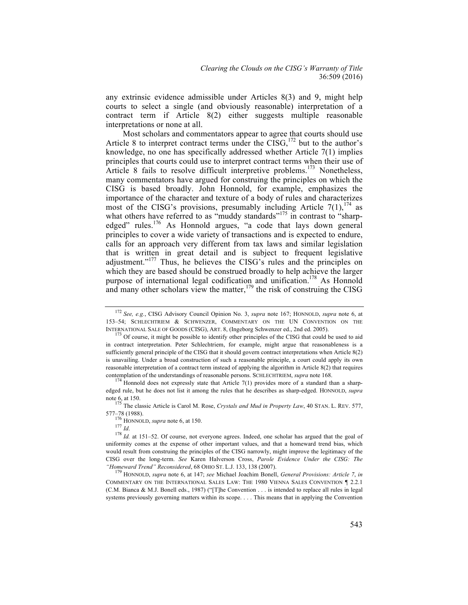any extrinsic evidence admissible under Articles 8(3) and 9, might help courts to select a single (and obviously reasonable) interpretation of a contract term if Article 8(2) either suggests multiple reasonable interpretations or none at all.

Most scholars and commentators appear to agree that courts should use Article 8 to interpret contract terms under the  $\text{CISG}$ ,<sup>172</sup> but to the author's knowledge, no one has specifically addressed whether Article 7(1) implies principles that courts could use to interpret contract terms when their use of Article 8 fails to resolve difficult interpretive problems.<sup>173</sup> Nonetheless, many commentators have argued for construing the principles on which the CISG is based broadly. John Honnold, for example, emphasizes the importance of the character and texture of a body of rules and characterizes most of the CISG's provisions, presumably including Article  $7(1)$ ,  $^{174}$  as what others have referred to as "muddy standards"<sup>175</sup> in contrast to "sharpedged" rules.<sup>176</sup> As Honnold argues, "a code that lays down general principles to cover a wide variety of transactions and is expected to endure, calls for an approach very different from tax laws and similar legislation that is written in great detail and is subject to frequent legislative adjustment."<sup>177</sup> Thus, he believes the CISG's rules and the principles on which they are based should be construed broadly to help achieve the larger purpose of international legal codification and unification.<sup>178</sup> As Honnold and many other scholars view the matter,<sup>179</sup> the risk of construing the CISG

<sup>172</sup> *See, e.g.*, CISG Advisory Council Opinion No. 3, *supra* note 167; HONNOLD, *supra* note 6, at 153–54; SCHLECHTRIEM & SCHWENZER, COMMENTARY ON THE UN CONVENTION ON THE INTERNATIONAL SALE OF GOODS (CISG). ART. 8. (Ingeborg Schwenzer ed., 2nd ed. 2005).

<sup>&</sup>lt;sup>173</sup> Of course, it might be possible to identify other principles of the CISG that could be used to aid in contract interpretation. Peter Schlechtriem, for example, might argue that reasonableness is a sufficiently general principle of the CISG that it should govern contract interpretations when Article 8(2) is unavailing. Under a broad construction of such a reasonable principle, a court could apply its own reasonable interpretation of a contract term instead of applying the algorithm in Article 8(2) that requires contemplation of the understandings of reasonable persons. SCHLECHTRIEM, *supra* note 168.<br><sup>174</sup> Honnold does not expressly state that Article 7(1) provides more of a standard than a sharp-

edged rule, but he does not list it among the rules that he describes as sharp-edged. HONNOLD, *supra* note 6, at 150. <sup>175</sup> The classic Article is Carol M. Rose, *Crystals and Mud in Property Law*, 40 STAN. L. REV. 577,

<sup>577–78 (1988).&</sup>lt;br><sup>176</sup> HONNOLD, *supra* note 6, at 150.

<sup>177</sup> *Id.* 178 *Incention*, *supra* note 6, at 150.<br>
177 *Id.* 178 *Id.* at 151–52. Of course, not everyone agrees. Indeed, one scholar has argued that the goal of uniformity comes at the expense of other important values, and that a homeward trend bias, which would result from construing the principles of the CISG narrowly, might improve the legitimacy of the CISG over the long-term. *See* Karen Halverson Cross, *Parole Evidence Under the CISG: The* 

<sup>&</sup>lt;sup>179</sup> HONNOLD, *supra* note 6, at 147; *see* Michael Joachim Bonell, *General Provisions: Article 7, in* COMMENTARY ON THE INTERNATIONAL SALES LAW: THE 1980 VIENNA SALES CONVENTION ¶ 2.2.1 (C.M. Bianca & M.J. Bonell eds., 1987) ("[T]he Convention . . . is intended to replace all rules in legal systems previously governing matters within its scope. . . . This means that in applying the Convention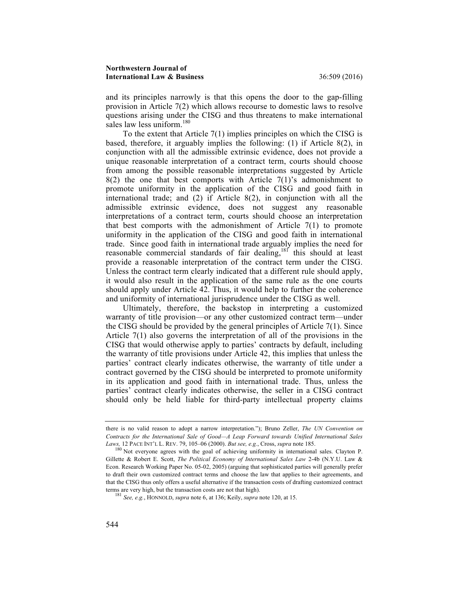and its principles narrowly is that this opens the door to the gap-filling provision in Article 7(2) which allows recourse to domestic laws to resolve questions arising under the CISG and thus threatens to make international sales law less uniform.<sup>180</sup>

To the extent that Article 7(1) implies principles on which the CISG is based, therefore, it arguably implies the following: (1) if Article 8(2), in conjunction with all the admissible extrinsic evidence, does not provide a unique reasonable interpretation of a contract term, courts should choose from among the possible reasonable interpretations suggested by Article  $8(2)$  the one that best comports with Article  $7(1)$ 's admonishment to promote uniformity in the application of the CISG and good faith in international trade; and (2) if Article 8(2), in conjunction with all the admissible extrinsic evidence, does not suggest any reasonable interpretations of a contract term, courts should choose an interpretation that best comports with the admonishment of Article 7(1) to promote uniformity in the application of the CISG and good faith in international trade. Since good faith in international trade arguably implies the need for reasonable commercial standards of fair dealing,<sup>181</sup> this should at least provide a reasonable interpretation of the contract term under the CISG. Unless the contract term clearly indicated that a different rule should apply, it would also result in the application of the same rule as the one courts should apply under Article 42. Thus, it would help to further the coherence and uniformity of international jurisprudence under the CISG as well.

Ultimately, therefore, the backstop in interpreting a customized warranty of title provision—or any other customized contract term—under the CISG should be provided by the general principles of Article 7(1). Since Article 7(1) also governs the interpretation of all of the provisions in the CISG that would otherwise apply to parties' contracts by default, including the warranty of title provisions under Article 42, this implies that unless the parties' contract clearly indicates otherwise, the warranty of title under a contract governed by the CISG should be interpreted to promote uniformity in its application and good faith in international trade. Thus, unless the parties' contract clearly indicates otherwise, the seller in a CISG contract should only be held liable for third-party intellectual property claims

there is no valid reason to adopt a narrow interpretation."); Bruno Zeller, *The UN Convention on Contracts for the International Sale of Good—A Leap Forward towards Unified International Sales* 

*Laws,* 12 PACE INT'L L. REV. 79, 105–06 (2000). *But see, e.g.*, Cross, *supra* note 185. <sup>180</sup> Not everyone agrees with the goal of achieving uniformity in international sales. Clayton P. Gillette & Robert E. Scott, *The Political Economy of International Sales Law* 2-4b (N.Y.U. Law & Econ. Research Working Paper No. 05-02, 2005) (arguing that sophisticated parties will generally prefer to draft their own customized contract terms and choose the law that applies to their agreements, and that the CISG thus only offers a useful alternative if the transaction costs of drafting customized contract terms are very high, but the transaction costs are not that high). 181 *See, e.g.*, HONNOLD, *supra* note 6, at 136; Keily, *supra* note 120, at 15.